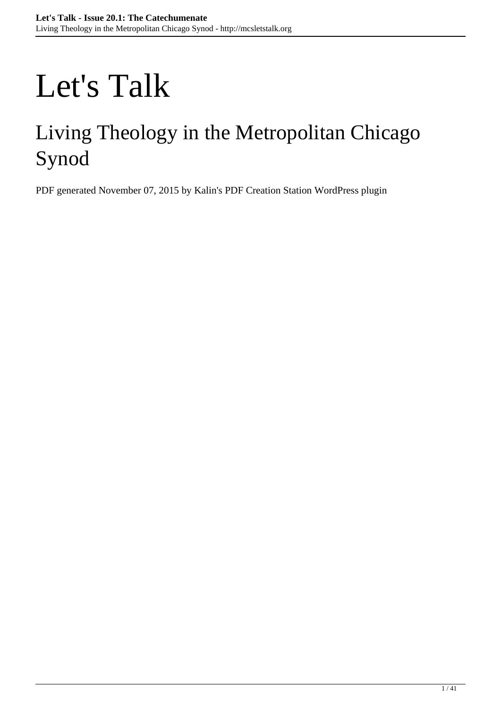# Let's Talk

## Living Theology in the Metropolitan Chicago Synod

PDF generated November 07, 2015 by Kalin's PDF Creation Station WordPress plugin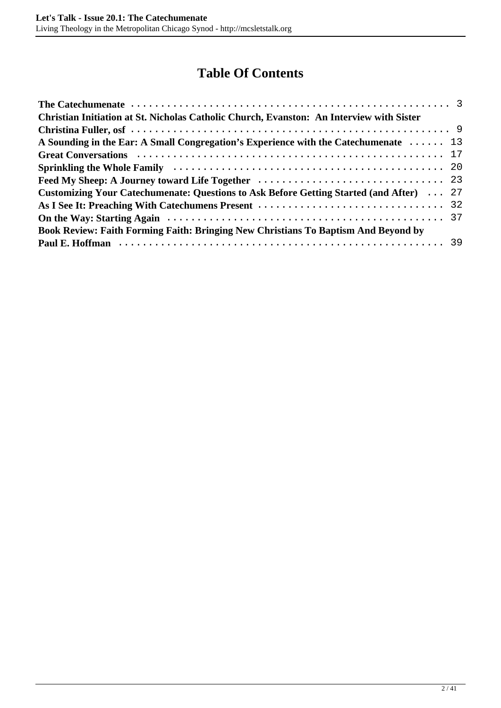## **Table Of Contents**

| A Sounding in the Ear: A Small Congregation's Experience with the Catechumenate $\ldots \ldots$ 13 |
|----------------------------------------------------------------------------------------------------|
|                                                                                                    |
|                                                                                                    |
|                                                                                                    |
| <b>Customizing Your Catechumenate: Questions to Ask Before Getting Started (and After)</b> 27      |
|                                                                                                    |
|                                                                                                    |
|                                                                                                    |
|                                                                                                    |
|                                                                                                    |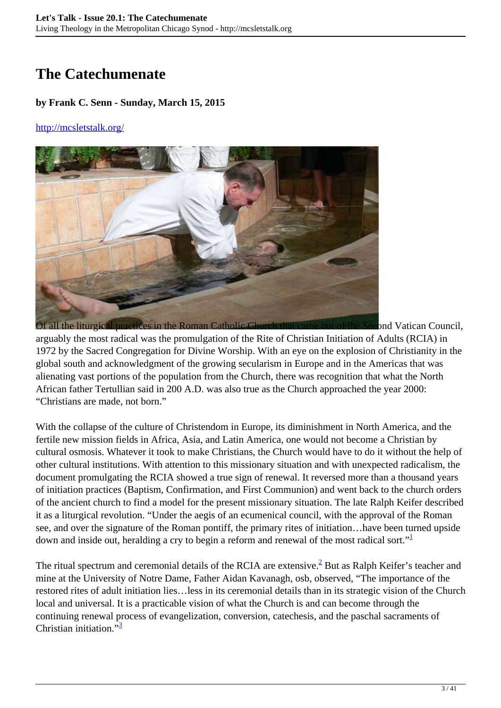## <span id="page-2-0"></span>**The Catechumenate**

#### **by Frank C. Senn - Sunday, March 15, 2015**

#### <http://mcsletstalk.org/>



arguably the most radical was the promulgation of the Rite of Christian Initiation of Adults (RCIA) in 1972 by the Sacred Congregation for Divine Worship. With an eye on the explosion of Christianity in the global south and acknowledgment of the growing secularism in Europe and in the Americas that was alienating vast portions of the population from the Church, there was recognition that what the North African father Tertullian said in 200 A.D. was also true as the Church approached the year 2000: "Christians are made, not born."

With the collapse of the culture of Christendom in Europe, its diminishment in North America, and the fertile new mission fields in Africa, Asia, and Latin America, one would not become a Christian by cultural osmosis. Whatever it took to make Christians, the Church would have to do it without the help of other cultural institutions. With attention to this missionary situation and with unexpected radicalism, the document promulgating the RCIA showed a true sign of renewal. It reversed more than a thousand years of initiation practices (Baptism, Confirmation, and First Communion) and went back to the church orders of the ancient church to find a model for the present missionary situation. The late Ralph Keifer described it as a liturgical revolution. "Under the aegis of an ecumenical council, with the approval of the Roman see, and over the signature of the Roman pontiff, the primary rites of initiation…have been turned upside down and inside out, heralding a cry to begin a reform and renewal of the most radical sort."

The ritual spectrum and ceremonial details of the RCIA are extensive.<sup>2</sup> But as Ralph Keifer's teacher and mine at the University of Notre Dame, Father Aidan Kavanagh, osb, observed, "The importance of the restored rites of adult initiation lies…less in its ceremonial details than in its strategic vision of the Church local and universal. It is a practicable vision of what the Church is and can become through the continuing renewal process of evangelization, conversion, catechesis, and the paschal sacraments of Christian initiation  $\frac{1}{3}$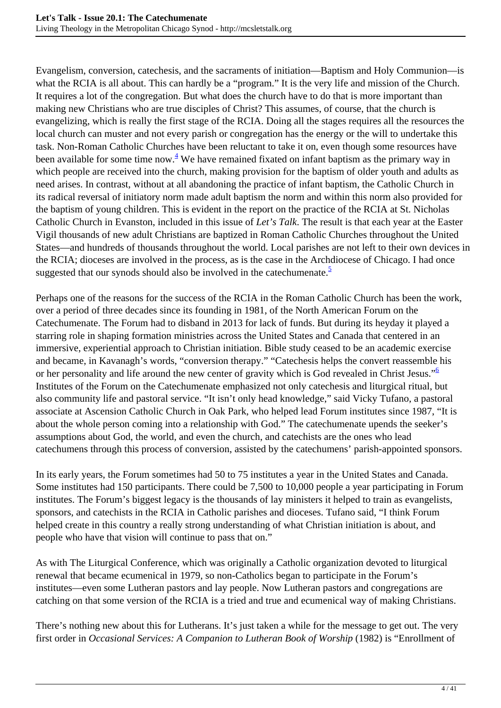Evangelism, conversion, catechesis, and the sacraments of initiation—Baptism and Holy Communion—is what the RCIA is all about. This can hardly be a "program." It is the very life and mission of the Church. It requires a lot of the congregation. But what does the church have to do that is more important than making new Christians who are true disciples of Christ? This assumes, of course, that the church is evangelizing, which is really the first stage of the RCIA. Doing all the stages requires all the resources the local church can muster and not every parish or congregation has the energy or the will to undertake this task. Non-Roman Catholic Churches have been reluctant to take it on, even though some resources have been available for some time now. $4$  We have remained fixated on infant baptism as the primary way in which people are received into the church, making provision for the baptism of older youth and adults as need arises. In contrast, without at all abandoning the practice of infant baptism, the Catholic Church in its radical reversal of initiatory norm made adult baptism the norm and within this norm also provided for the baptism of young children. This is evident in the report on the practice of the RCIA at St. Nicholas Catholic Church in Evanston, included in this issue of *Let's Talk*. The result is that each year at the Easter Vigil thousands of new adult Christians are baptized in Roman Catholic Churches throughout the United States—and hundreds of thousands throughout the world. Local parishes are not left to their own devices in the RCIA; dioceses are involved in the process, as is the case in the Archdiocese of Chicago. I had once suggested that our synods should also be involved in the catechumenate. $\frac{5}{3}$ 

Perhaps one of the reasons for the success of the RCIA in the Roman Catholic Church has been the work, over a period of three decades since its founding in 1981, of the North American Forum on the Catechumenate. The Forum had to disband in 2013 for lack of funds. But during its heyday it played a starring role in shaping formation ministries across the United States and Canada that centered in an immersive, experiential approach to Christian initiation. Bible study ceased to be an academic exercise and became, in Kavanagh's words, "conversion therapy." "Catechesis helps the convert reassemble his or her personality and life around the new center of gravity which is God revealed in Christ Jesus."<sup>6</sup> Institutes of the Forum on the Catechumenate emphasized not only catechesis and liturgical ritual, but also community life and pastoral service. "It isn't only head knowledge," said Vicky Tufano, a pastoral associate at Ascension Catholic Church in Oak Park, who helped lead Forum institutes since 1987, "It is about the whole person coming into a relationship with God." The catechumenate upends the seeker's assumptions about God, the world, and even the church, and catechists are the ones who lead catechumens through this process of conversion, assisted by the catechumens' parish-appointed sponsors.

In its early years, the Forum sometimes had 50 to 75 institutes a year in the United States and Canada. Some institutes had 150 participants. There could be 7,500 to 10,000 people a year participating in Forum institutes. The Forum's biggest legacy is the thousands of lay ministers it helped to train as evangelists, sponsors, and catechists in the RCIA in Catholic parishes and dioceses. Tufano said, "I think Forum helped create in this country a really strong understanding of what Christian initiation is about, and people who have that vision will continue to pass that on."

As with The Liturgical Conference, which was originally a Catholic organization devoted to liturgical renewal that became ecumenical in 1979, so non-Catholics began to participate in the Forum's institutes—even some Lutheran pastors and lay people. Now Lutheran pastors and congregations are catching on that some version of the RCIA is a tried and true and ecumenical way of making Christians.

There's nothing new about this for Lutherans. It's just taken a while for the message to get out. The very first order in *Occasional Services: A Companion to Lutheran Book of Worship* (1982) is "Enrollment of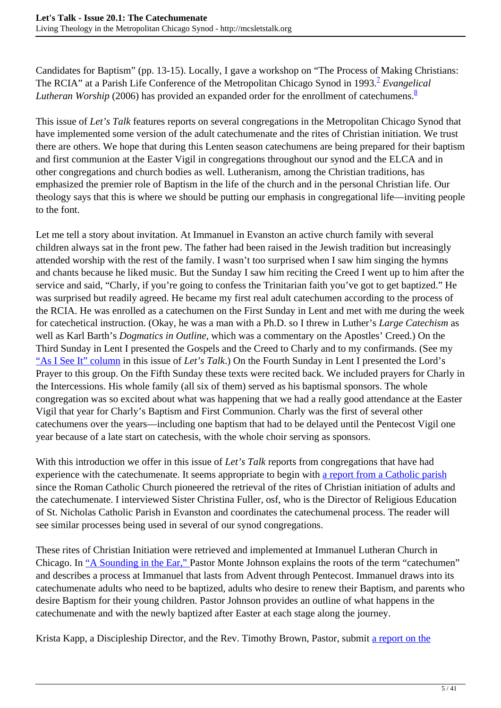Candidates for Baptism" (pp. 13-15). Locally, I gave a workshop on "The Process of Making Christians: The RCIA" at a Parish Life Conference of the Metropolitan Chicago Synod in 1993.<sup>2</sup> Evangelical *Lutheran Worship* (2006) has provided an expanded order for the enrollment of catechumens.<sup>8</sup>

This issue of *Let's Talk* features reports on several congregations in the Metropolitan Chicago Synod that have implemented some version of the adult catechumenate and the rites of Christian initiation. We trust there are others. We hope that during this Lenten season catechumens are being prepared for their baptism and first communion at the Easter Vigil in congregations throughout our synod and the ELCA and in other congregations and church bodies as well. Lutheranism, among the Christian traditions, has emphasized the premier role of Baptism in the life of the church and in the personal Christian life. Our theology says that this is where we should be putting our emphasis in congregational life—inviting people to the font.

Let me tell a story about invitation. At Immanuel in Evanston an active church family with several children always sat in the front pew. The father had been raised in the Jewish tradition but increasingly attended worship with the rest of the family. I wasn't too surprised when I saw him singing the hymns and chants because he liked music. But the Sunday I saw him reciting the Creed I went up to him after the service and said, "Charly, if you're going to confess the Trinitarian faith you've got to get baptized." He was surprised but readily agreed. He became my first real adult catechumen according to the process of the RCIA. He was enrolled as a catechumen on the First Sunday in Lent and met with me during the week for catechetical instruction. (Okay, he was a man with a Ph.D. so I threw in Luther's *Large Catechism* as well as Karl Barth's *Dogmatics in Outline*, which was a commentary on the Apostles' Creed.) On the Third Sunday in Lent I presented the Gospels and the Creed to Charly and to my confirmands. (See my ["As I See It" column](http://mcsletstalk.org/catechumenate/as-i-see-it-preaching-with-catechumens-present/) in this issue of *Let's Talk*.) On the Fourth Sunday in Lent I presented the Lord's Prayer to this group. On the Fifth Sunday these texts were recited back. We included prayers for Charly in the Intercessions. His whole family (all six of them) served as his baptismal sponsors. The whole congregation was so excited about what was happening that we had a really good attendance at the Easter Vigil that year for Charly's Baptism and First Communion. Charly was the first of several other catechumens over the years—including one baptism that had to be delayed until the Pentecost Vigil one year because of a late start on catechesis, with the whole choir serving as sponsors.

With this introduction we offer in this issue of *Let's Talk* reports from congregations that have had experience with the catechumenate. It seems appropriate to begin with [a report from a Catholic parish](http://mcsletstalk.org/catechumenate/christian-initiation-at-st-nicholas-catholic-church-evanston-an-interview-with-sister-christina-fuller-osf/) since the Roman Catholic Church pioneered the retrieval of the rites of Christian initiation of adults and the catechumenate. I interviewed Sister Christina Fuller, osf, who is the Director of Religious Education of St. Nicholas Catholic Parish in Evanston and coordinates the catechumenal process. The reader will see similar processes being used in several of our synod congregations.

These rites of Christian Initiation were retrieved and implemented at Immanuel Lutheran Church in Chicago. In ["A Sounding in the Ear,"](http://mcsletstalk.org/catechumenate/a-sounding-in-the-ear-a-small-congregations-experience-with-the-catechumenate/) Pastor Monte Johnson explains the roots of the term "catechumen" and describes a process at Immanuel that lasts from Advent through Pentecost. Immanuel draws into its catechumenate adults who need to be baptized, adults who desire to renew their Baptism, and parents who desire Baptism for their young children. Pastor Johnson provides an outline of what happens in the catechumenate and with the newly baptized after Easter at each stage along the journey.

Krista Kapp, a Discipleship Director, and the Rev. Timothy Brown, Pastor, submit [a report on the](http://mcsletstalk.org/catechumenate/great-conversations/)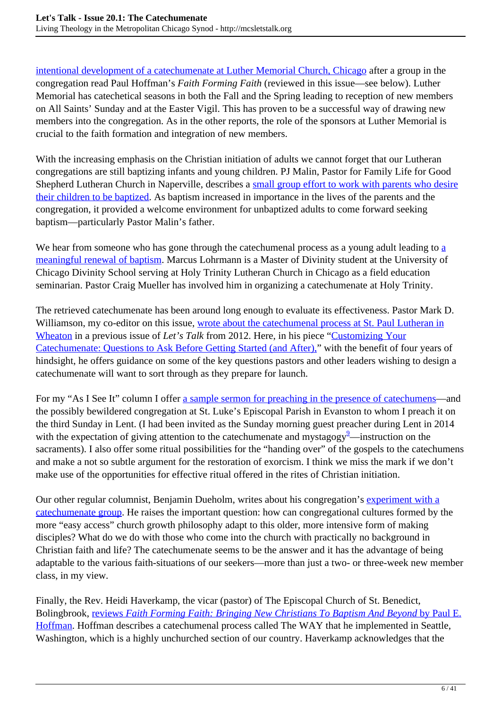[intentional development of a catechumenate at Luther Memorial Church, Chicago](http://mcsletstalk.org/catechumenate/great-conversations/) after a group in the congregation read Paul Hoffman's *Faith Forming Faith* (reviewed in this issue—see below). Luther Memorial has catechetical seasons in both the Fall and the Spring leading to reception of new members on All Saints' Sunday and at the Easter Vigil. This has proven to be a successful way of drawing new members into the congregation. As in the other reports, the role of the sponsors at Luther Memorial is crucial to the faith formation and integration of new members.

With the increasing emphasis on the Christian initiation of adults we cannot forget that our Lutheran congregations are still baptizing infants and young children. PJ Malin, Pastor for Family Life for Good Shepherd Lutheran Church in Naperville, describes a [small group effort to work with parents who desire](http://mcsletstalk.org/catechumenate/sprinkling-the-whole-family/) [their children to be baptized](http://mcsletstalk.org/catechumenate/sprinkling-the-whole-family/). As baptism increased in importance in the lives of the parents and the congregation, it provided a welcome environment for unbaptized adults to come forward seeking baptism—particularly Pastor Malin's father.

We he[a](http://mcsletstalk.org/catechumenate/feed-my-sheep-a-journey-toward-life-together/)r from someone who has gone through the cate chumenal process as a young adult leading to a [meaningful renewal of baptism](http://mcsletstalk.org/catechumenate/feed-my-sheep-a-journey-toward-life-together/). Marcus Lohrmann is a Master of Divinity student at the University of Chicago Divinity School serving at Holy Trinity Lutheran Church in Chicago as a field education seminarian. Pastor Craig Mueller has involved him in organizing a catechumenate at Holy Trinity.

The retrieved catechumenate has been around long enough to evaluate its effectiveness. Pastor Mark D. Williamson, my co-editor on this issue, [wrote about the catechumenal process at St. Paul Lutheran in](http://mcsletstalk.org/turning-around/the-adult-catechumenate-and-the-missional-church/) [Wheaton](http://mcsletstalk.org/turning-around/the-adult-catechumenate-and-the-missional-church/) in a previous issue of *Let's Talk* from 2012. Here, in his piece "[Customizing Your](http://mcsletstalk.org/catechumenate/customizing-your-catechumenate-questions-to-ask-before-getting-started-and-after/) [Catechumenate: Questions to Ask Before Getting Started \(and After\),"](http://mcsletstalk.org/catechumenate/customizing-your-catechumenate-questions-to-ask-before-getting-started-and-after/) with the benefit of four years of hindsight, he offers guidance on some of the key questions pastors and other leaders wishing to design a catechumenate will want to sort through as they prepare for launch.

For my "As I See It" column I offer [a sample sermon for preaching in the presence of catechumens](http://mcsletstalk.org/catechumenate/as-i-see-it-preaching-with-catechumens-present/)—and the possibly bewildered congregation at St. Luke's Episcopal Parish in Evanston to whom I preach it on the third Sunday in Lent. (I had been invited as the Sunday morning guest preacher during Lent in 2014 with the expectation of giving attention to the catechumenate and mystagogy<sup>2</sup>—instruction on the sacraments). I also offer some ritual possibilities for the "handing over" of the gospels to the catechumens and make a not so subtle argument for the restoration of exorcism. I think we miss the mark if we don't make use of the opportunities for effective ritual offered in the rites of Christian initiation.

Our other regular columnist, Benjamin Dueholm, writes about his congregation's [experiment with a](http://mcsletstalk.org/catechumenate/on-the-way-starting-again/) [catechumenate group.](http://mcsletstalk.org/catechumenate/on-the-way-starting-again/) He raises the important question: how can congregational cultures formed by the more "easy access" church growth philosophy adapt to this older, more intensive form of making disciples? What do we do with those who come into the church with practically no background in Christian faith and life? The catechumenate seems to be the answer and it has the advantage of being adaptable to the various faith-situations of our seekers—more than just a two- or three-week new member class, in my view.

Finally, the Rev. Heidi Haverkamp, the vicar (pastor) of The Episcopal Church of St. Benedict, Bolingbrook, [reviews](http://mcsletstalk.org/catechumenate/book-review-faith-forming-faith-bringing-new-christians-to-baptism-and-beyond-by-paul-e-hoffman/) *[Faith Forming Faith: Bringing New Christians To Baptism And Beyond](http://mcsletstalk.org/catechumenate/book-review-faith-forming-faith-bringing-new-christians-to-baptism-and-beyond-by-paul-e-hoffman/)* [by Paul E.](http://mcsletstalk.org/catechumenate/book-review-faith-forming-faith-bringing-new-christians-to-baptism-and-beyond-by-paul-e-hoffman/) [Hoffman.](http://mcsletstalk.org/catechumenate/book-review-faith-forming-faith-bringing-new-christians-to-baptism-and-beyond-by-paul-e-hoffman/) Hoffman describes a catechumenal process called The WAY that he implemented in Seattle, Washington, which is a highly unchurched section of our country. Haverkamp acknowledges that the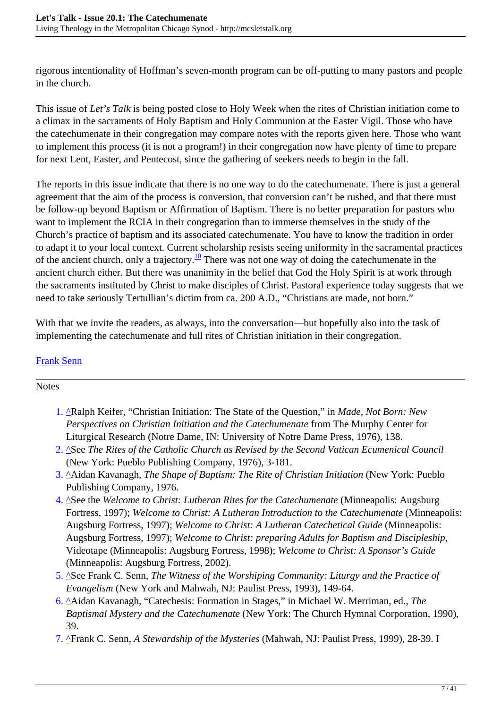rigorous intentionality of Hoffman's seven-month program can be off-putting to many pastors and people in the church.

This issue of *Let's Talk* is being posted close to Holy Week when the rites of Christian initiation come to a climax in the sacraments of Holy Baptism and Holy Communion at the Easter Vigil. Those who have the catechumenate in their congregation may compare notes with the reports given here. Those who want to implement this process (it is not a program!) in their congregation now have plenty of time to prepare for next Lent, Easter, and Pentecost, since the gathering of seekers needs to begin in the fall.

The reports in this issue indicate that there is no one way to do the catechumenate. There is just a general agreement that the aim of the process is conversion, that conversion can't be rushed, and that there must be follow-up beyond Baptism or Affirmation of Baptism. There is no better preparation for pastors who want to implement the RCIA in their congregation than to immerse themselves in the study of the Church's practice of baptism and its associated catechumenate. You have to know the tradition in order to adapt it to your local context. Current scholarship resists seeing uniformity in the sacramental practices of the ancient church, only a trajectory.<sup>10</sup> There was not one way of doing the catechumenate in the ancient church either. But there was unanimity in the belief that God the Holy Spirit is at work through the sacraments instituted by Christ to make disciples of Christ. Pastoral experience today suggests that we need to take seriously Tertullian's dictim from ca. 200 A.D., "Christians are made, not born."

With that we invite the readers, as always, into the conversation—but hopefully also into the task of implementing the catechumenate and full rites of Christian initiation in their congregation.

#### [Frank Senn](http://mcsletstalk.org/author/franksenn/)

#### Notes

- 1. ^Ralph Keifer, "Christian Initiation: The State of the Question," in *Made, Not Born: New Perspectives on Christian Initiation and the Catechumenate* from The Murphy Center for Liturgical Research (Notre Dame, IN: University of Notre Dame Press, 1976), 138.
- 2. ^See *The Rites of the Catholic Church as Revised by the Second Vatican Ecumenical Council* (New York: Pueblo Publishing Company, 1976), 3-181.
- 3. ^Aidan Kavanagh, *The Shape of Baptism: The Rite of Christian Initiation* (New York: Pueblo Publishing Company, 1976.
- 4. ^See the *Welcome to Christ: Lutheran Rites for the Catechumenate* (Minneapolis: Augsburg Fortress, 1997); *Welcome to Christ: A Lutheran Introduction to the Catechumenate* (Minneapolis: Augsburg Fortress, 1997); *Welcome to Christ: A Lutheran Catechetical Guide* (Minneapolis: Augsburg Fortress, 1997); *Welcome to Christ: preparing Adults for Baptism and Discipleship*, Videotape (Minneapolis: Augsburg Fortress, 1998); *Welcome to Christ: A Sponsor's Guide* (Minneapolis: Augsburg Fortress, 2002).
- 5. ^See Frank C. Senn, *The Witness of the Worshiping Community: Liturgy and the Practice of Evangelism* (New York and Mahwah, NJ: Paulist Press, 1993), 149-64.
- 6. ^Aidan Kavanagh, "Catechesis: Formation in Stages," in Michael W. Merriman, ed., *The Baptismal Mystery and the Catechumenate* (New York: The Church Hymnal Corporation, 1990), 39.
- 7. ^Frank C. Senn, *A Stewardship of the Mysteries* (Mahwah, NJ: Paulist Press, 1999), 28-39. I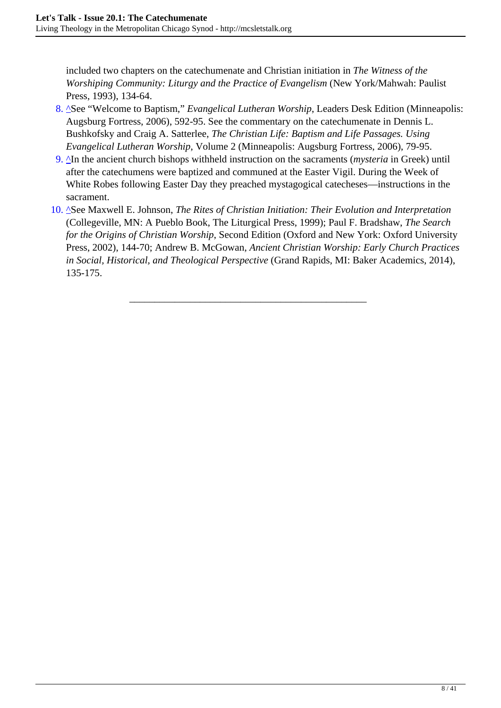included two chapters on the catechumenate and Christian initiation in *The Witness of the Worshiping Community: Liturgy and the Practice of Evangelism* (New York/Mahwah: Paulist Press, 1993), 134-64.

- 8. ^See "Welcome to Baptism," *Evangelical Lutheran Worship*, Leaders Desk Edition (Minneapolis: Augsburg Fortress, 2006), 592-95. See the commentary on the catechumenate in Dennis L. Bushkofsky and Craig A. Satterlee, *The Christian Life: Baptism and Life Passages. Using Evangelical Lutheran Worship*, Volume 2 (Minneapolis: Augsburg Fortress, 2006), 79-95.
- 9. <sup>^</sup>In the ancient church bishops withheld instruction on the sacraments (*mysteria* in Greek) until after the catechumens were baptized and communed at the Easter Vigil. During the Week of White Robes following Easter Day they preached mystagogical catecheses—instructions in the sacrament.
- 10. ^See Maxwell E. Johnson, *The Rites of Christian Initiation: Their Evolution and Interpretation* (Collegeville, MN: A Pueblo Book, The Liturgical Press, 1999); Paul F. Bradshaw, *The Search for the Origins of Christian Worship*, Second Edition (Oxford and New York: Oxford University Press, 2002), 144-70; Andrew B. McGowan, *Ancient Christian Worship: Early Church Practices in Social, Historical, and Theological Perspective* (Grand Rapids, MI: Baker Academics, 2014), 135-175.

\_\_\_\_\_\_\_\_\_\_\_\_\_\_\_\_\_\_\_\_\_\_\_\_\_\_\_\_\_\_\_\_\_\_\_\_\_\_\_\_\_\_\_\_\_\_\_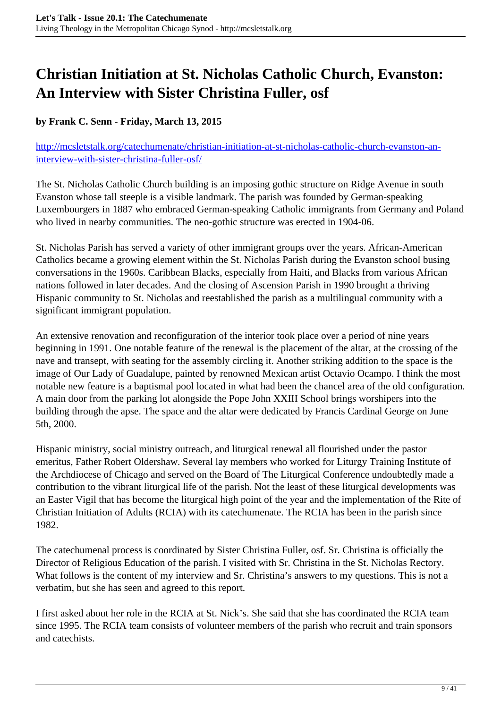## <span id="page-8-0"></span>**Christian Initiation at St. Nicholas Catholic Church, Evanston: An Interview with Sister Christina Fuller, osf**

#### **by Frank C. Senn - Friday, March 13, 2015**

[http://mcsletstalk.org/catechumenate/christian-initiation-at-st-nicholas-catholic-church-evanston-an](http://mcsletstalk.org/catechumenate/christian-initiation-at-st-nicholas-catholic-church-evanston-an-interview-with-sister-christina-fuller-osf/)[interview-with-sister-christina-fuller-osf/](http://mcsletstalk.org/catechumenate/christian-initiation-at-st-nicholas-catholic-church-evanston-an-interview-with-sister-christina-fuller-osf/)

The St. Nicholas Catholic Church building is an imposing gothic structure on Ridge Avenue in south Evanston whose tall steeple is a visible landmark. The parish was founded by German-speaking Luxembourgers in 1887 who embraced German-speaking Catholic immigrants from Germany and Poland who lived in nearby communities. The neo-gothic structure was erected in 1904-06.

St. Nicholas Parish has served a variety of other immigrant groups over the years. African-American Catholics became a growing element within the St. Nicholas Parish during the Evanston school busing conversations in the 1960s. Caribbean Blacks, especially from Haiti, and Blacks from various African nations followed in later decades. And the closing of Ascension Parish in 1990 brought a thriving Hispanic community to St. Nicholas and reestablished the parish as a multilingual community with a significant immigrant population.

An extensive renovation and reconfiguration of the interior took place over a period of nine years beginning in 1991. One notable feature of the renewal is the placement of the altar, at the crossing of the nave and transept, with seating for the assembly circling it. Another striking addition to the space is the image of Our Lady of Guadalupe, painted by renowned Mexican artist Octavio Ocampo. I think the most notable new feature is a baptismal pool located in what had been the chancel area of the old configuration. A main door from the parking lot alongside the Pope John XXIII School brings worshipers into the building through the apse. The space and the altar were dedicated by Francis Cardinal George on June 5th, 2000.

Hispanic ministry, social ministry outreach, and liturgical renewal all flourished under the pastor emeritus, Father Robert Oldershaw. Several lay members who worked for Liturgy Training Institute of the Archdiocese of Chicago and served on the Board of The Liturgical Conference undoubtedly made a contribution to the vibrant liturgical life of the parish. Not the least of these liturgical developments was an Easter Vigil that has become the liturgical high point of the year and the implementation of the Rite of Christian Initiation of Adults (RCIA) with its catechumenate. The RCIA has been in the parish since 1982.

The catechumenal process is coordinated by Sister Christina Fuller, osf. Sr. Christina is officially the Director of Religious Education of the parish. I visited with Sr. Christina in the St. Nicholas Rectory. What follows is the content of my interview and Sr. Christina's answers to my questions. This is not a verbatim, but she has seen and agreed to this report.

I first asked about her role in the RCIA at St. Nick's. She said that she has coordinated the RCIA team since 1995. The RCIA team consists of volunteer members of the parish who recruit and train sponsors and catechists.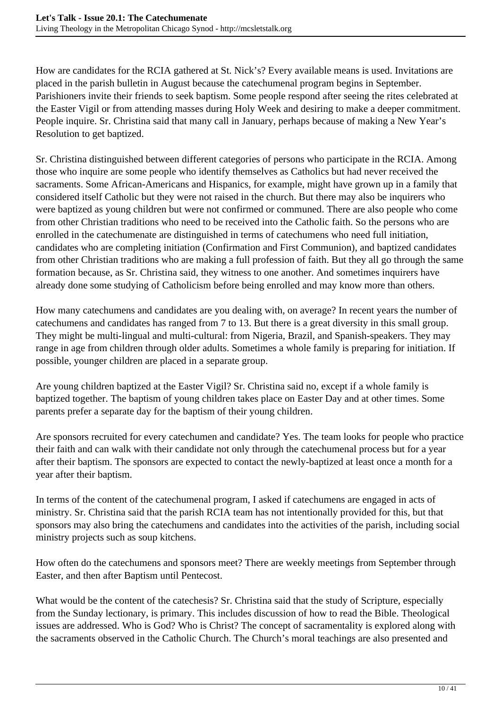How are candidates for the RCIA gathered at St. Nick's? Every available means is used. Invitations are placed in the parish bulletin in August because the catechumenal program begins in September. Parishioners invite their friends to seek baptism. Some people respond after seeing the rites celebrated at the Easter Vigil or from attending masses during Holy Week and desiring to make a deeper commitment. People inquire. Sr. Christina said that many call in January, perhaps because of making a New Year's Resolution to get baptized.

Sr. Christina distinguished between different categories of persons who participate in the RCIA. Among those who inquire are some people who identify themselves as Catholics but had never received the sacraments. Some African-Americans and Hispanics, for example, might have grown up in a family that considered itself Catholic but they were not raised in the church. But there may also be inquirers who were baptized as young children but were not confirmed or communed. There are also people who come from other Christian traditions who need to be received into the Catholic faith. So the persons who are enrolled in the catechumenate are distinguished in terms of catechumens who need full initiation, candidates who are completing initiation (Confirmation and First Communion), and baptized candidates from other Christian traditions who are making a full profession of faith. But they all go through the same formation because, as Sr. Christina said, they witness to one another. And sometimes inquirers have already done some studying of Catholicism before being enrolled and may know more than others.

How many catechumens and candidates are you dealing with, on average? In recent years the number of catechumens and candidates has ranged from 7 to 13. But there is a great diversity in this small group. They might be multi-lingual and multi-cultural: from Nigeria, Brazil, and Spanish-speakers. They may range in age from children through older adults. Sometimes a whole family is preparing for initiation. If possible, younger children are placed in a separate group.

Are young children baptized at the Easter Vigil? Sr. Christina said no, except if a whole family is baptized together. The baptism of young children takes place on Easter Day and at other times. Some parents prefer a separate day for the baptism of their young children.

Are sponsors recruited for every catechumen and candidate? Yes. The team looks for people who practice their faith and can walk with their candidate not only through the catechumenal process but for a year after their baptism. The sponsors are expected to contact the newly-baptized at least once a month for a year after their baptism.

In terms of the content of the catechumenal program, I asked if catechumens are engaged in acts of ministry. Sr. Christina said that the parish RCIA team has not intentionally provided for this, but that sponsors may also bring the catechumens and candidates into the activities of the parish, including social ministry projects such as soup kitchens.

How often do the catechumens and sponsors meet? There are weekly meetings from September through Easter, and then after Baptism until Pentecost.

What would be the content of the catechesis? Sr. Christina said that the study of Scripture, especially from the Sunday lectionary, is primary. This includes discussion of how to read the Bible. Theological issues are addressed. Who is God? Who is Christ? The concept of sacramentality is explored along with the sacraments observed in the Catholic Church. The Church's moral teachings are also presented and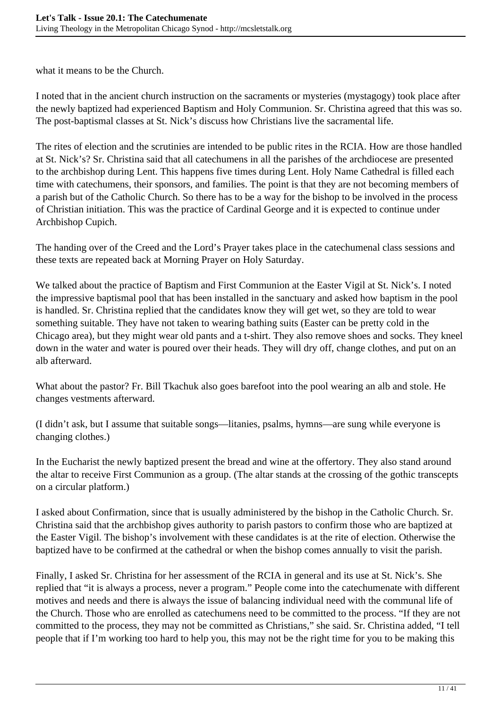what it means to be the Church.

I noted that in the ancient church instruction on the sacraments or mysteries (mystagogy) took place after the newly baptized had experienced Baptism and Holy Communion. Sr. Christina agreed that this was so. The post-baptismal classes at St. Nick's discuss how Christians live the sacramental life.

The rites of election and the scrutinies are intended to be public rites in the RCIA. How are those handled at St. Nick's? Sr. Christina said that all catechumens in all the parishes of the archdiocese are presented to the archbishop during Lent. This happens five times during Lent. Holy Name Cathedral is filled each time with catechumens, their sponsors, and families. The point is that they are not becoming members of a parish but of the Catholic Church. So there has to be a way for the bishop to be involved in the process of Christian initiation. This was the practice of Cardinal George and it is expected to continue under Archbishop Cupich.

The handing over of the Creed and the Lord's Prayer takes place in the catechumenal class sessions and these texts are repeated back at Morning Prayer on Holy Saturday.

We talked about the practice of Baptism and First Communion at the Easter Vigil at St. Nick's. I noted the impressive baptismal pool that has been installed in the sanctuary and asked how baptism in the pool is handled. Sr. Christina replied that the candidates know they will get wet, so they are told to wear something suitable. They have not taken to wearing bathing suits (Easter can be pretty cold in the Chicago area), but they might wear old pants and a t-shirt. They also remove shoes and socks. They kneel down in the water and water is poured over their heads. They will dry off, change clothes, and put on an alb afterward.

What about the pastor? Fr. Bill Tkachuk also goes barefoot into the pool wearing an alb and stole. He changes vestments afterward.

(I didn't ask, but I assume that suitable songs—litanies, psalms, hymns—are sung while everyone is changing clothes.)

In the Eucharist the newly baptized present the bread and wine at the offertory. They also stand around the altar to receive First Communion as a group. (The altar stands at the crossing of the gothic transcepts on a circular platform.)

I asked about Confirmation, since that is usually administered by the bishop in the Catholic Church. Sr. Christina said that the archbishop gives authority to parish pastors to confirm those who are baptized at the Easter Vigil. The bishop's involvement with these candidates is at the rite of election. Otherwise the baptized have to be confirmed at the cathedral or when the bishop comes annually to visit the parish.

Finally, I asked Sr. Christina for her assessment of the RCIA in general and its use at St. Nick's. She replied that "it is always a process, never a program." People come into the catechumenate with different motives and needs and there is always the issue of balancing individual need with the communal life of the Church. Those who are enrolled as catechumens need to be committed to the process. "If they are not committed to the process, they may not be committed as Christians," she said. Sr. Christina added, "I tell people that if I'm working too hard to help you, this may not be the right time for you to be making this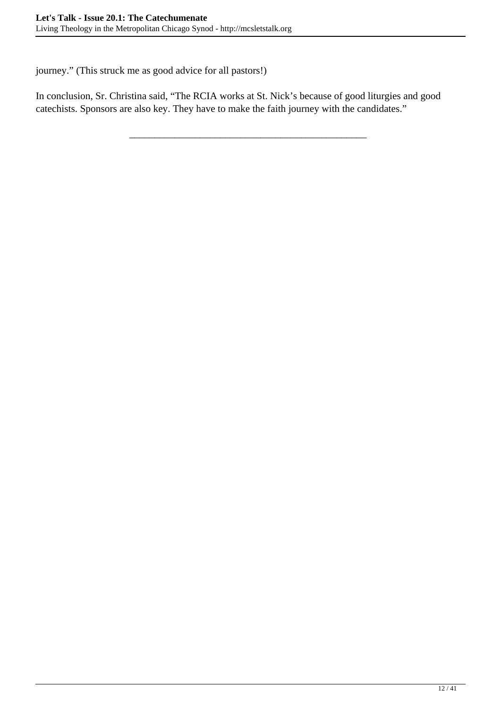journey." (This struck me as good advice for all pastors!)

In conclusion, Sr. Christina said, "The RCIA works at St. Nick's because of good liturgies and good catechists. Sponsors are also key. They have to make the faith journey with the candidates."

\_\_\_\_\_\_\_\_\_\_\_\_\_\_\_\_\_\_\_\_\_\_\_\_\_\_\_\_\_\_\_\_\_\_\_\_\_\_\_\_\_\_\_\_\_\_\_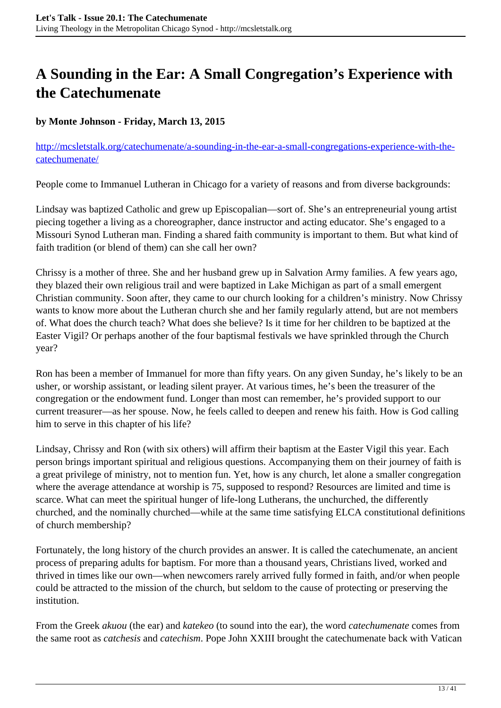## <span id="page-12-0"></span>**A Sounding in the Ear: A Small Congregation's Experience with the Catechumenate**

#### **by Monte Johnson - Friday, March 13, 2015**

[http://mcsletstalk.org/catechumenate/a-sounding-in-the-ear-a-small-congregations-experience-with-the](http://mcsletstalk.org/catechumenate/a-sounding-in-the-ear-a-small-congregations-experience-with-the-catechumenate/)[catechumenate/](http://mcsletstalk.org/catechumenate/a-sounding-in-the-ear-a-small-congregations-experience-with-the-catechumenate/)

People come to Immanuel Lutheran in Chicago for a variety of reasons and from diverse backgrounds:

Lindsay was baptized Catholic and grew up Episcopalian—sort of. She's an entrepreneurial young artist piecing together a living as a choreographer, dance instructor and acting educator. She's engaged to a Missouri Synod Lutheran man. Finding a shared faith community is important to them. But what kind of faith tradition (or blend of them) can she call her own?

Chrissy is a mother of three. She and her husband grew up in Salvation Army families. A few years ago, they blazed their own religious trail and were baptized in Lake Michigan as part of a small emergent Christian community. Soon after, they came to our church looking for a children's ministry. Now Chrissy wants to know more about the Lutheran church she and her family regularly attend, but are not members of. What does the church teach? What does she believe? Is it time for her children to be baptized at the Easter Vigil? Or perhaps another of the four baptismal festivals we have sprinkled through the Church year?

Ron has been a member of Immanuel for more than fifty years. On any given Sunday, he's likely to be an usher, or worship assistant, or leading silent prayer. At various times, he's been the treasurer of the congregation or the endowment fund. Longer than most can remember, he's provided support to our current treasurer—as her spouse. Now, he feels called to deepen and renew his faith. How is God calling him to serve in this chapter of his life?

Lindsay, Chrissy and Ron (with six others) will affirm their baptism at the Easter Vigil this year. Each person brings important spiritual and religious questions. Accompanying them on their journey of faith is a great privilege of ministry, not to mention fun. Yet, how is any church, let alone a smaller congregation where the average attendance at worship is 75, supposed to respond? Resources are limited and time is scarce. What can meet the spiritual hunger of life-long Lutherans, the unchurched, the differently churched, and the nominally churched—while at the same time satisfying ELCA constitutional definitions of church membership?

Fortunately, the long history of the church provides an answer. It is called the catechumenate, an ancient process of preparing adults for baptism. For more than a thousand years, Christians lived, worked and thrived in times like our own—when newcomers rarely arrived fully formed in faith, and/or when people could be attracted to the mission of the church, but seldom to the cause of protecting or preserving the institution.

From the Greek *akuou* (the ear) and *katekeo* (to sound into the ear), the word *catechumenate* comes from the same root as *catchesis* and *catechism*. Pope John XXIII brought the catechumenate back with Vatican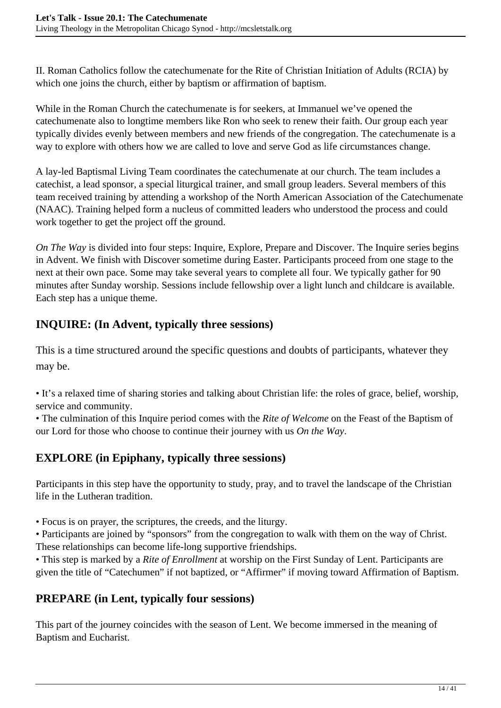II. Roman Catholics follow the catechumenate for the Rite of Christian Initiation of Adults (RCIA) by which one joins the church, either by baptism or affirmation of baptism.

While in the Roman Church the catechumenate is for seekers, at Immanuel we've opened the catechumenate also to longtime members like Ron who seek to renew their faith. Our group each year typically divides evenly between members and new friends of the congregation. The catechumenate is a way to explore with others how we are called to love and serve God as life circumstances change.

A lay-led Baptismal Living Team coordinates the catechumenate at our church. The team includes a catechist, a lead sponsor, a special liturgical trainer, and small group leaders. Several members of this team received training by attending a workshop of the North American Association of the Catechumenate (NAAC). Training helped form a nucleus of committed leaders who understood the process and could work together to get the project off the ground.

*On The Way* is divided into four steps: Inquire, Explore, Prepare and Discover. The Inquire series begins in Advent. We finish with Discover sometime during Easter. Participants proceed from one stage to the next at their own pace. Some may take several years to complete all four. We typically gather for 90 minutes after Sunday worship. Sessions include fellowship over a light lunch and childcare is available. Each step has a unique theme.

## **INQUIRE: (In Advent, typically three sessions)**

This is a time structured around the specific questions and doubts of participants, whatever they may be.

• It's a relaxed time of sharing stories and talking about Christian life: the roles of grace, belief, worship, service and community.

• The culmination of this Inquire period comes with the *Rite of Welcome* on the Feast of the Baptism of our Lord for those who choose to continue their journey with us *On the Way*.

### **EXPLORE (in Epiphany, typically three sessions)**

Participants in this step have the opportunity to study, pray, and to travel the landscape of the Christian life in the Lutheran tradition.

• Focus is on prayer, the scriptures, the creeds, and the liturgy.

• Participants are joined by "sponsors" from the congregation to walk with them on the way of Christ. These relationships can become life-long supportive friendships.

• This step is marked by a *Rite of Enrollment* at worship on the First Sunday of Lent. Participants are given the title of "Catechumen" if not baptized, or "Affirmer" if moving toward Affirmation of Baptism.

### **PREPARE (in Lent, typically four sessions)**

This part of the journey coincides with the season of Lent. We become immersed in the meaning of Baptism and Eucharist.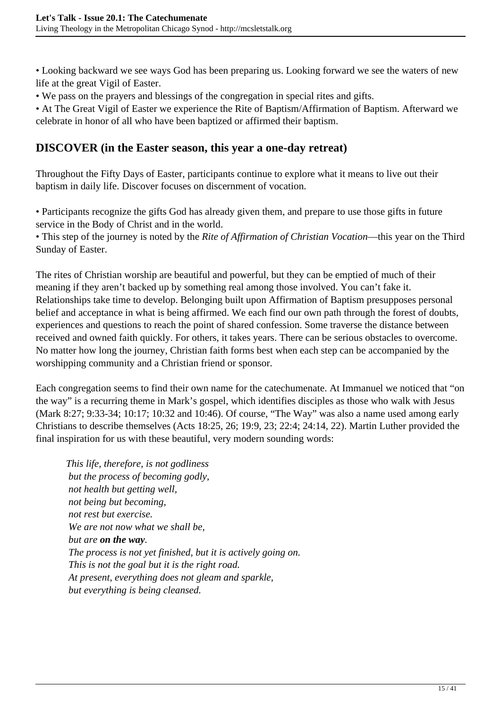• Looking backward we see ways God has been preparing us. Looking forward we see the waters of new life at the great Vigil of Easter.

• We pass on the prayers and blessings of the congregation in special rites and gifts.

• At The Great Vigil of Easter we experience the Rite of Baptism/Affirmation of Baptism. Afterward we celebrate in honor of all who have been baptized or affirmed their baptism.

#### **DISCOVER (in the Easter season, this year a one-day retreat)**

Throughout the Fifty Days of Easter, participants continue to explore what it means to live out their baptism in daily life. Discover focuses on discernment of vocation.

• Participants recognize the gifts God has already given them, and prepare to use those gifts in future service in the Body of Christ and in the world.

• This step of the journey is noted by the *Rite of Affirmation of Christian Vocation*—this year on the Third Sunday of Easter.

The rites of Christian worship are beautiful and powerful, but they can be emptied of much of their meaning if they aren't backed up by something real among those involved. You can't fake it. Relationships take time to develop. Belonging built upon Affirmation of Baptism presupposes personal belief and acceptance in what is being affirmed. We each find our own path through the forest of doubts, experiences and questions to reach the point of shared confession. Some traverse the distance between received and owned faith quickly. For others, it takes years. There can be serious obstacles to overcome. No matter how long the journey, Christian faith forms best when each step can be accompanied by the worshipping community and a Christian friend or sponsor.

Each congregation seems to find their own name for the catechumenate. At Immanuel we noticed that "on the way" is a recurring theme in Mark's gospel, which identifies disciples as those who walk with Jesus (Mark 8:27; 9:33-34; 10:17; 10:32 and 10:46). Of course, "The Way" was also a name used among early Christians to describe themselves (Acts 18:25, 26; 19:9, 23; 22:4; 24:14, 22). Martin Luther provided the final inspiration for us with these beautiful, very modern sounding words:

*This life, therefore, is not godliness but the process of becoming godly, not health but getting well, not being but becoming, not rest but exercise. We are not now what we shall be, but are on the way. The process is not yet finished, but it is actively going on. This is not the goal but it is the right road. At present, everything does not gleam and sparkle, but everything is being cleansed.*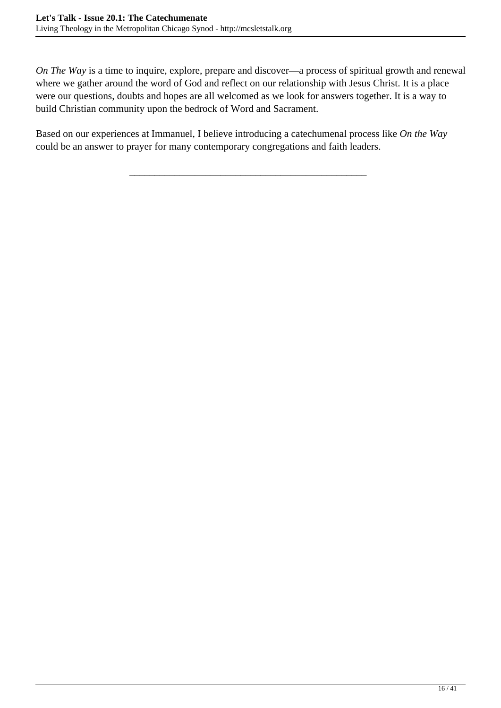*On The Way* is a time to inquire, explore, prepare and discover—a process of spiritual growth and renewal where we gather around the word of God and reflect on our relationship with Jesus Christ. It is a place were our questions, doubts and hopes are all welcomed as we look for answers together. It is a way to build Christian community upon the bedrock of Word and Sacrament.

Based on our experiences at Immanuel, I believe introducing a catechumenal process like *On the Way* could be an answer to prayer for many contemporary congregations and faith leaders.

\_\_\_\_\_\_\_\_\_\_\_\_\_\_\_\_\_\_\_\_\_\_\_\_\_\_\_\_\_\_\_\_\_\_\_\_\_\_\_\_\_\_\_\_\_\_\_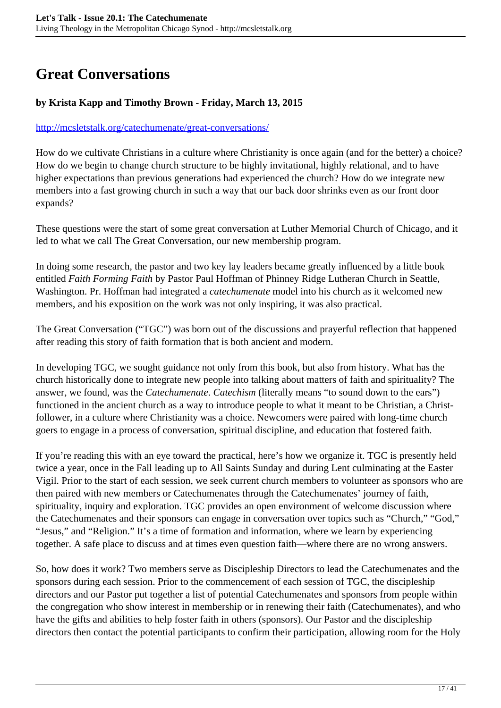## <span id="page-16-0"></span>**Great Conversations**

#### **by Krista Kapp and Timothy Brown - Friday, March 13, 2015**

#### <http://mcsletstalk.org/catechumenate/great-conversations/>

How do we cultivate Christians in a culture where Christianity is once again (and for the better) a choice? How do we begin to change church structure to be highly invitational, highly relational, and to have higher expectations than previous generations had experienced the church? How do we integrate new members into a fast growing church in such a way that our back door shrinks even as our front door expands?

These questions were the start of some great conversation at Luther Memorial Church of Chicago, and it led to what we call The Great Conversation, our new membership program.

In doing some research, the pastor and two key lay leaders became greatly influenced by a little book entitled *Faith Forming Faith* by Pastor Paul Hoffman of Phinney Ridge Lutheran Church in Seattle, Washington. Pr. Hoffman had integrated a *catechumenate* model into his church as it welcomed new members, and his exposition on the work was not only inspiring, it was also practical.

The Great Conversation ("TGC") was born out of the discussions and prayerful reflection that happened after reading this story of faith formation that is both ancient and modern.

In developing TGC, we sought guidance not only from this book, but also from history. What has the church historically done to integrate new people into talking about matters of faith and spirituality? The answer, we found, was the *Catechumenate*. *Catechism* (literally means "to sound down to the ears") functioned in the ancient church as a way to introduce people to what it meant to be Christian, a Christfollower, in a culture where Christianity was a choice. Newcomers were paired with long-time church goers to engage in a process of conversation, spiritual discipline, and education that fostered faith.

If you're reading this with an eye toward the practical, here's how we organize it. TGC is presently held twice a year, once in the Fall leading up to All Saints Sunday and during Lent culminating at the Easter Vigil. Prior to the start of each session, we seek current church members to volunteer as sponsors who are then paired with new members or Catechumenates through the Catechumenates' journey of faith, spirituality, inquiry and exploration. TGC provides an open environment of welcome discussion where the Catechumenates and their sponsors can engage in conversation over topics such as "Church," "God," "Jesus," and "Religion." It's a time of formation and information, where we learn by experiencing together. A safe place to discuss and at times even question faith—where there are no wrong answers.

So, how does it work? Two members serve as Discipleship Directors to lead the Catechumenates and the sponsors during each session. Prior to the commencement of each session of TGC, the discipleship directors and our Pastor put together a list of potential Catechumenates and sponsors from people within the congregation who show interest in membership or in renewing their faith (Catechumenates), and who have the gifts and abilities to help foster faith in others (sponsors). Our Pastor and the discipleship directors then contact the potential participants to confirm their participation, allowing room for the Holy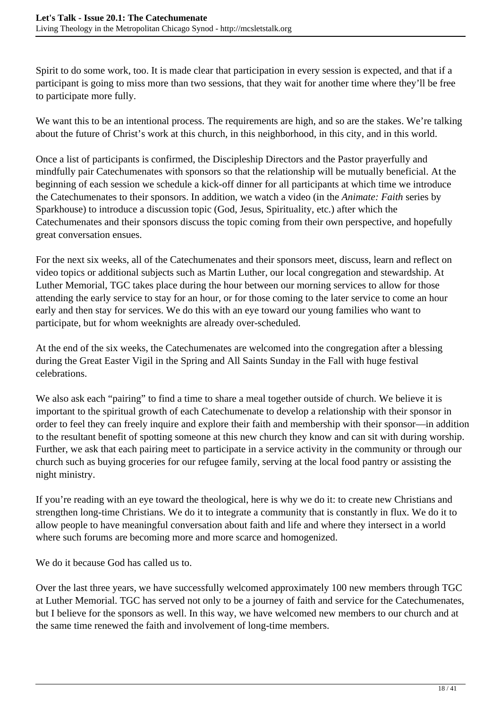Spirit to do some work, too. It is made clear that participation in every session is expected, and that if a participant is going to miss more than two sessions, that they wait for another time where they'll be free to participate more fully.

We want this to be an intentional process. The requirements are high, and so are the stakes. We're talking about the future of Christ's work at this church, in this neighborhood, in this city, and in this world.

Once a list of participants is confirmed, the Discipleship Directors and the Pastor prayerfully and mindfully pair Catechumenates with sponsors so that the relationship will be mutually beneficial. At the beginning of each session we schedule a kick-off dinner for all participants at which time we introduce the Catechumenates to their sponsors. In addition, we watch a video (in the *Animate: Faith* series by Sparkhouse) to introduce a discussion topic (God, Jesus, Spirituality, etc.) after which the Catechumenates and their sponsors discuss the topic coming from their own perspective, and hopefully great conversation ensues.

For the next six weeks, all of the Catechumenates and their sponsors meet, discuss, learn and reflect on video topics or additional subjects such as Martin Luther, our local congregation and stewardship. At Luther Memorial, TGC takes place during the hour between our morning services to allow for those attending the early service to stay for an hour, or for those coming to the later service to come an hour early and then stay for services. We do this with an eye toward our young families who want to participate, but for whom weeknights are already over-scheduled.

At the end of the six weeks, the Catechumenates are welcomed into the congregation after a blessing during the Great Easter Vigil in the Spring and All Saints Sunday in the Fall with huge festival celebrations.

We also ask each "pairing" to find a time to share a meal together outside of church. We believe it is important to the spiritual growth of each Catechumenate to develop a relationship with their sponsor in order to feel they can freely inquire and explore their faith and membership with their sponsor—in addition to the resultant benefit of spotting someone at this new church they know and can sit with during worship. Further, we ask that each pairing meet to participate in a service activity in the community or through our church such as buying groceries for our refugee family, serving at the local food pantry or assisting the night ministry.

If you're reading with an eye toward the theological, here is why we do it: to create new Christians and strengthen long-time Christians. We do it to integrate a community that is constantly in flux. We do it to allow people to have meaningful conversation about faith and life and where they intersect in a world where such forums are becoming more and more scarce and homogenized.

We do it because God has called us to.

Over the last three years, we have successfully welcomed approximately 100 new members through TGC at Luther Memorial. TGC has served not only to be a journey of faith and service for the Catechumenates, but I believe for the sponsors as well. In this way, we have welcomed new members to our church and at the same time renewed the faith and involvement of long-time members.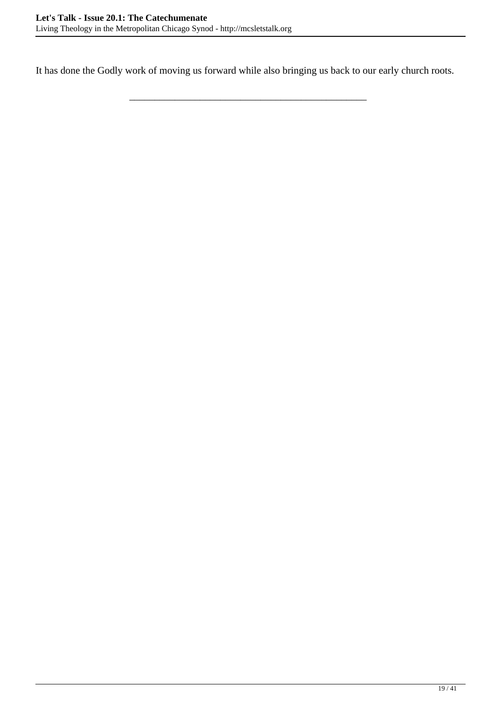It has done the Godly work of moving us forward while also bringing us back to our early church roots.

\_\_\_\_\_\_\_\_\_\_\_\_\_\_\_\_\_\_\_\_\_\_\_\_\_\_\_\_\_\_\_\_\_\_\_\_\_\_\_\_\_\_\_\_\_\_\_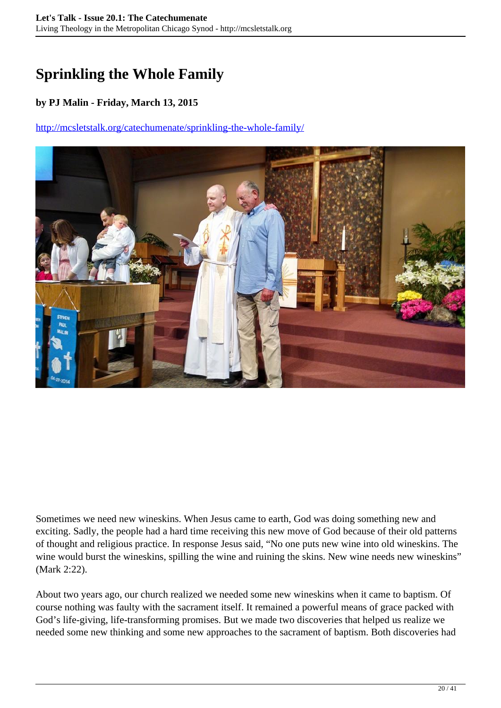## <span id="page-19-0"></span>**Sprinkling the Whole Family**

#### **by PJ Malin - Friday, March 13, 2015**

#### <http://mcsletstalk.org/catechumenate/sprinkling-the-whole-family/>



Sometimes we need new wineskins. When Jesus came to earth, God was doing something new and exciting. Sadly, the people had a hard time receiving this new move of God because of their old patterns of thought and religious practice. In response Jesus said, "No one puts new wine into old wineskins. The wine would burst the wineskins, spilling the wine and ruining the skins. New wine needs new wineskins" (Mark 2:22).

About two years ago, our church realized we needed some new wineskins when it came to baptism. Of course nothing was faulty with the sacrament itself. It remained a powerful means of grace packed with God's life-giving, life-transforming promises. But we made two discoveries that helped us realize we needed some new thinking and some new approaches to the sacrament of baptism. Both discoveries had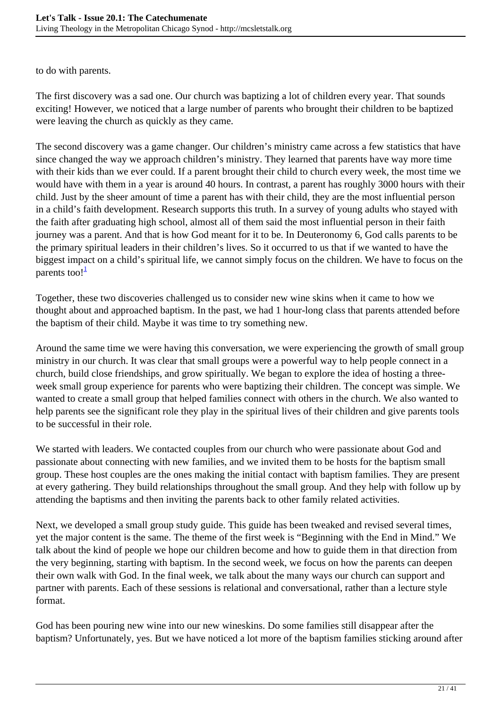to do with parents.

The first discovery was a sad one. Our church was baptizing a lot of children every year. That sounds exciting! However, we noticed that a large number of parents who brought their children to be baptized were leaving the church as quickly as they came.

The second discovery was a game changer. Our children's ministry came across a few statistics that have since changed the way we approach children's ministry. They learned that parents have way more time with their kids than we ever could. If a parent brought their child to church every week, the most time we would have with them in a year is around 40 hours. In contrast, a parent has roughly 3000 hours with their child. Just by the sheer amount of time a parent has with their child, they are the most influential person in a child's faith development. Research supports this truth. In a survey of young adults who stayed with the faith after graduating high school, almost all of them said the most influential person in their faith journey was a parent. And that is how God meant for it to be. In Deuteronomy 6, God calls parents to be the primary spiritual leaders in their children's lives. So it occurred to us that if we wanted to have the biggest impact on a child's spiritual life, we cannot simply focus on the children. We have to focus on the parents too! $\frac{1}{1}$ 

Together, these two discoveries challenged us to consider new wine skins when it came to how we thought about and approached baptism. In the past, we had 1 hour-long class that parents attended before the baptism of their child. Maybe it was time to try something new.

Around the same time we were having this conversation, we were experiencing the growth of small group ministry in our church. It was clear that small groups were a powerful way to help people connect in a church, build close friendships, and grow spiritually. We began to explore the idea of hosting a threeweek small group experience for parents who were baptizing their children. The concept was simple. We wanted to create a small group that helped families connect with others in the church. We also wanted to help parents see the significant role they play in the spiritual lives of their children and give parents tools to be successful in their role.

We started with leaders. We contacted couples from our church who were passionate about God and passionate about connecting with new families, and we invited them to be hosts for the baptism small group. These host couples are the ones making the initial contact with baptism families. They are present at every gathering. They build relationships throughout the small group. And they help with follow up by attending the baptisms and then inviting the parents back to other family related activities.

Next, we developed a small group study guide. This guide has been tweaked and revised several times, yet the major content is the same. The theme of the first week is "Beginning with the End in Mind." We talk about the kind of people we hope our children become and how to guide them in that direction from the very beginning, starting with baptism. In the second week, we focus on how the parents can deepen their own walk with God. In the final week, we talk about the many ways our church can support and partner with parents. Each of these sessions is relational and conversational, rather than a lecture style format.

God has been pouring new wine into our new wineskins. Do some families still disappear after the baptism? Unfortunately, yes. But we have noticed a lot more of the baptism families sticking around after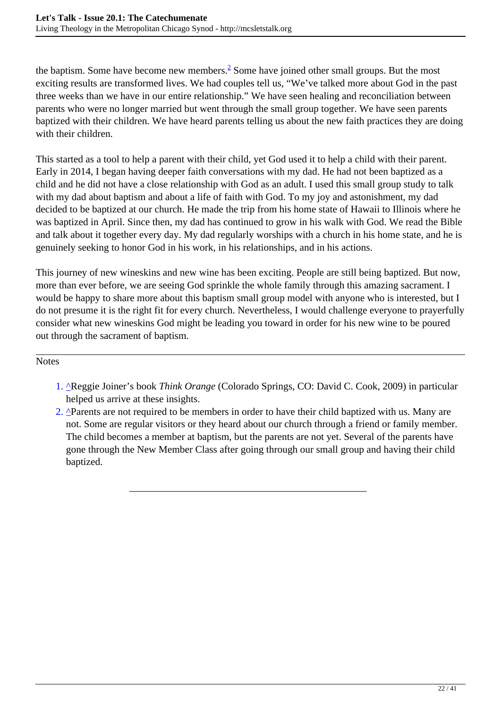the baptism. Some have become new members. $\frac{2}{3}$  Some have joined other small groups. But the most exciting results are transformed lives. We had couples tell us, "We've talked more about God in the past three weeks than we have in our entire relationship." We have seen healing and reconciliation between parents who were no longer married but went through the small group together. We have seen parents baptized with their children. We have heard parents telling us about the new faith practices they are doing with their children.

This started as a tool to help a parent with their child, yet God used it to help a child with their parent. Early in 2014, I began having deeper faith conversations with my dad. He had not been baptized as a child and he did not have a close relationship with God as an adult. I used this small group study to talk with my dad about baptism and about a life of faith with God. To my joy and astonishment, my dad decided to be baptized at our church. He made the trip from his home state of Hawaii to Illinois where he was baptized in April. Since then, my dad has continued to grow in his walk with God. We read the Bible and talk about it together every day. My dad regularly worships with a church in his home state, and he is genuinely seeking to honor God in his work, in his relationships, and in his actions.

This journey of new wineskins and new wine has been exciting. People are still being baptized. But now, more than ever before, we are seeing God sprinkle the whole family through this amazing sacrament. I would be happy to share more about this baptism small group model with anyone who is interested, but I do not presume it is the right fit for every church. Nevertheless, I would challenge everyone to prayerfully consider what new wineskins God might be leading you toward in order for his new wine to be poured out through the sacrament of baptism.

#### Notes

- 1. ^Reggie Joiner's book *Think Orange* (Colorado Springs, CO: David C. Cook, 2009) in particular helped us arrive at these insights.
- 2. <sup>^</sup>Parents are not required to be members in order to have their child baptized with us. Many are not. Some are regular visitors or they heard about our church through a friend or family member. The child becomes a member at baptism, but the parents are not yet. Several of the parents have gone through the New Member Class after going through our small group and having their child baptized.

\_\_\_\_\_\_\_\_\_\_\_\_\_\_\_\_\_\_\_\_\_\_\_\_\_\_\_\_\_\_\_\_\_\_\_\_\_\_\_\_\_\_\_\_\_\_\_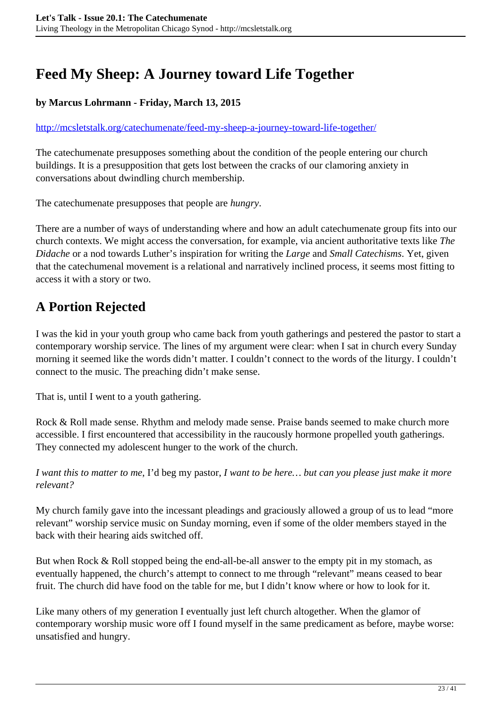## <span id="page-22-0"></span>**Feed My Sheep: A Journey toward Life Together**

#### **by Marcus Lohrmann - Friday, March 13, 2015**

#### <http://mcsletstalk.org/catechumenate/feed-my-sheep-a-journey-toward-life-together/>

The catechumenate presupposes something about the condition of the people entering our church buildings. It is a presupposition that gets lost between the cracks of our clamoring anxiety in conversations about dwindling church membership.

The catechumenate presupposes that people are *hungry*.

There are a number of ways of understanding where and how an adult catechumenate group fits into our church contexts. We might access the conversation, for example, via ancient authoritative texts like *The Didache* or a nod towards Luther's inspiration for writing the *Large* and *Small Catechisms*. Yet, given that the catechumenal movement is a relational and narratively inclined process, it seems most fitting to access it with a story or two.

## **A Portion Rejected**

I was the kid in your youth group who came back from youth gatherings and pestered the pastor to start a contemporary worship service. The lines of my argument were clear: when I sat in church every Sunday morning it seemed like the words didn't matter. I couldn't connect to the words of the liturgy. I couldn't connect to the music. The preaching didn't make sense.

That is, until I went to a youth gathering.

Rock & Roll made sense. Rhythm and melody made sense. Praise bands seemed to make church more accessible. I first encountered that accessibility in the raucously hormone propelled youth gatherings. They connected my adolescent hunger to the work of the church.

*I want this to matter to me*, I'd beg my pastor, *I want to be here… but can you please just make it more relevant?*

My church family gave into the incessant pleadings and graciously allowed a group of us to lead "more relevant" worship service music on Sunday morning, even if some of the older members stayed in the back with their hearing aids switched off.

But when Rock & Roll stopped being the end-all-be-all answer to the empty pit in my stomach, as eventually happened, the church's attempt to connect to me through "relevant" means ceased to bear fruit. The church did have food on the table for me, but I didn't know where or how to look for it.

Like many others of my generation I eventually just left church altogether. When the glamor of contemporary worship music wore off I found myself in the same predicament as before, maybe worse: unsatisfied and hungry.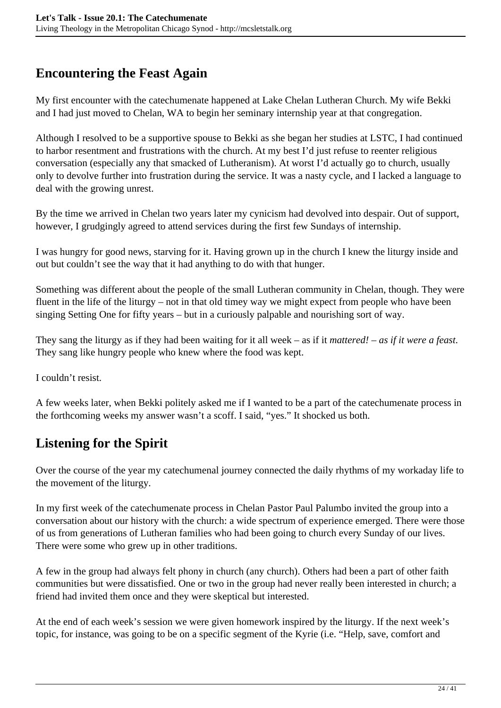## **Encountering the Feast Again**

My first encounter with the catechumenate happened at Lake Chelan Lutheran Church. My wife Bekki and I had just moved to Chelan, WA to begin her seminary internship year at that congregation.

Although I resolved to be a supportive spouse to Bekki as she began her studies at LSTC, I had continued to harbor resentment and frustrations with the church. At my best I'd just refuse to reenter religious conversation (especially any that smacked of Lutheranism). At worst I'd actually go to church, usually only to devolve further into frustration during the service. It was a nasty cycle, and I lacked a language to deal with the growing unrest.

By the time we arrived in Chelan two years later my cynicism had devolved into despair. Out of support, however, I grudgingly agreed to attend services during the first few Sundays of internship.

I was hungry for good news, starving for it. Having grown up in the church I knew the liturgy inside and out but couldn't see the way that it had anything to do with that hunger.

Something was different about the people of the small Lutheran community in Chelan, though. They were fluent in the life of the liturgy – not in that old timey way we might expect from people who have been singing Setting One for fifty years – but in a curiously palpable and nourishing sort of way.

They sang the liturgy as if they had been waiting for it all week – as if it *mattered! – as if it were a feast*. They sang like hungry people who knew where the food was kept.

I couldn't resist.

A few weeks later, when Bekki politely asked me if I wanted to be a part of the catechumenate process in the forthcoming weeks my answer wasn't a scoff. I said, "yes." It shocked us both.

## **Listening for the Spirit**

Over the course of the year my catechumenal journey connected the daily rhythms of my workaday life to the movement of the liturgy.

In my first week of the catechumenate process in Chelan Pastor Paul Palumbo invited the group into a conversation about our history with the church: a wide spectrum of experience emerged. There were those of us from generations of Lutheran families who had been going to church every Sunday of our lives. There were some who grew up in other traditions.

A few in the group had always felt phony in church (any church). Others had been a part of other faith communities but were dissatisfied. One or two in the group had never really been interested in church; a friend had invited them once and they were skeptical but interested.

At the end of each week's session we were given homework inspired by the liturgy. If the next week's topic, for instance, was going to be on a specific segment of the Kyrie (i.e. "Help, save, comfort and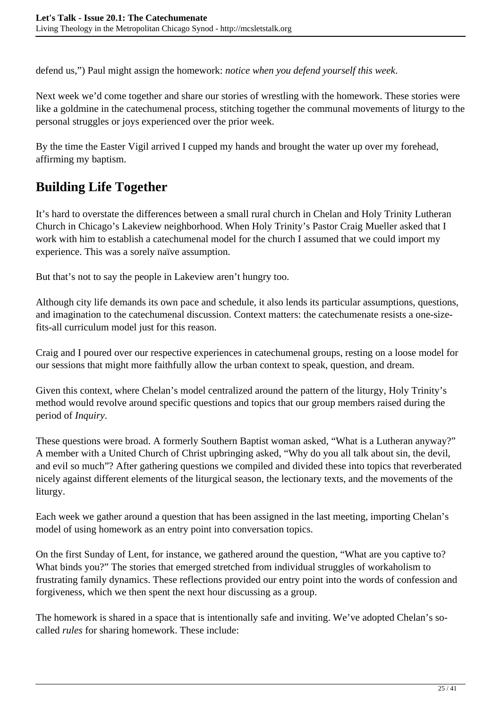defend us,") Paul might assign the homework: *notice when you defend yourself this week*.

Next week we'd come together and share our stories of wrestling with the homework. These stories were like a goldmine in the catechumenal process, stitching together the communal movements of liturgy to the personal struggles or joys experienced over the prior week.

By the time the Easter Vigil arrived I cupped my hands and brought the water up over my forehead, affirming my baptism.

## **Building Life Together**

It's hard to overstate the differences between a small rural church in Chelan and Holy Trinity Lutheran Church in Chicago's Lakeview neighborhood. When Holy Trinity's Pastor Craig Mueller asked that I work with him to establish a catechumenal model for the church I assumed that we could import my experience. This was a sorely naïve assumption.

But that's not to say the people in Lakeview aren't hungry too.

Although city life demands its own pace and schedule, it also lends its particular assumptions, questions, and imagination to the catechumenal discussion. Context matters: the catechumenate resists a one-sizefits-all curriculum model just for this reason.

Craig and I poured over our respective experiences in catechumenal groups, resting on a loose model for our sessions that might more faithfully allow the urban context to speak, question, and dream.

Given this context, where Chelan's model centralized around the pattern of the liturgy, Holy Trinity's method would revolve around specific questions and topics that our group members raised during the period of *Inquiry*.

These questions were broad. A formerly Southern Baptist woman asked, "What is a Lutheran anyway?" A member with a United Church of Christ upbringing asked, "Why do you all talk about sin, the devil, and evil so much"? After gathering questions we compiled and divided these into topics that reverberated nicely against different elements of the liturgical season, the lectionary texts, and the movements of the liturgy.

Each week we gather around a question that has been assigned in the last meeting, importing Chelan's model of using homework as an entry point into conversation topics.

On the first Sunday of Lent, for instance, we gathered around the question, "What are you captive to? What binds you?" The stories that emerged stretched from individual struggles of workaholism to frustrating family dynamics. These reflections provided our entry point into the words of confession and forgiveness, which we then spent the next hour discussing as a group.

The homework is shared in a space that is intentionally safe and inviting. We've adopted Chelan's socalled *rules* for sharing homework. These include: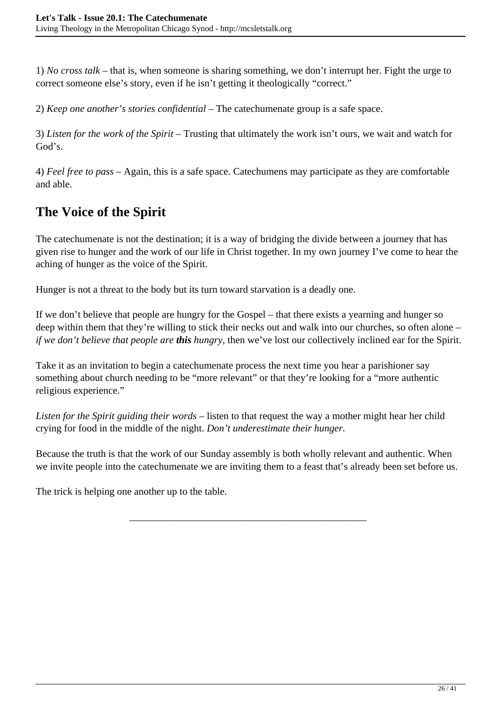1) *No cross talk* – that is, when someone is sharing something, we don't interrupt her. Fight the urge to correct someone else's story, even if he isn't getting it theologically "correct."

2) *Keep one another's stories confidential* – The catechumenate group is a safe space.

3) *Listen for the work of the Spirit* – Trusting that ultimately the work isn't ours, we wait and watch for God's.

4) *Feel free to pass* – Again, this is a safe space. Catechumens may participate as they are comfortable and able.

## **The Voice of the Spirit**

The catechumenate is not the destination; it is a way of bridging the divide between a journey that has given rise to hunger and the work of our life in Christ together. In my own journey I've come to hear the aching of hunger as the voice of the Spirit.

Hunger is not a threat to the body but its turn toward starvation is a deadly one.

If we don't believe that people are hungry for the Gospel – that there exists a yearning and hunger so deep within them that they're willing to stick their necks out and walk into our churches, so often alone – *if we don't believe that people are this hungry*, then we've lost our collectively inclined ear for the Spirit.

Take it as an invitation to begin a catechumenate process the next time you hear a parishioner say something about church needing to be "more relevant" or that they're looking for a "more authentic religious experience."

*Listen for the Spirit guiding their words* – listen to that request the way a mother might hear her child crying for food in the middle of the night. *Don't underestimate their hunger.*

Because the truth is that the work of our Sunday assembly is both wholly relevant and authentic. When we invite people into the catechumenate we are inviting them to a feast that's already been set before us.

\_\_\_\_\_\_\_\_\_\_\_\_\_\_\_\_\_\_\_\_\_\_\_\_\_\_\_\_\_\_\_\_\_\_\_\_\_\_\_\_\_\_\_\_\_\_\_

The trick is helping one another up to the table.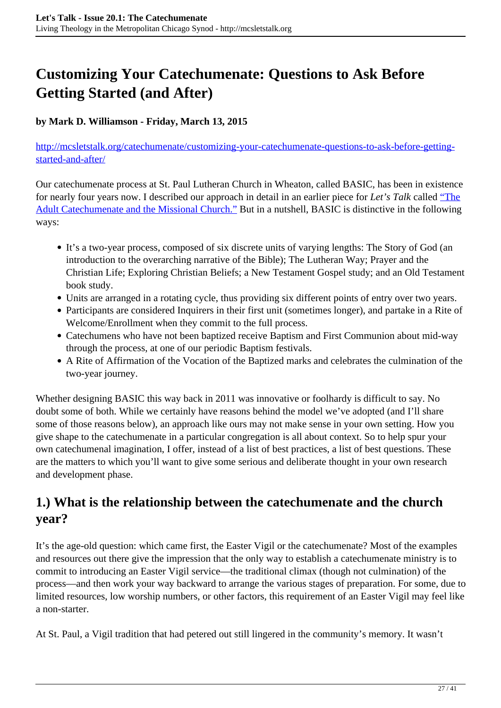## <span id="page-26-0"></span>**Customizing Your Catechumenate: Questions to Ask Before Getting Started (and After)**

#### **by Mark D. Williamson - Friday, March 13, 2015**

[http://mcsletstalk.org/catechumenate/customizing-your-catechumenate-questions-to-ask-before-getting](http://mcsletstalk.org/catechumenate/customizing-your-catechumenate-questions-to-ask-before-getting-started-and-after/)[started-and-after/](http://mcsletstalk.org/catechumenate/customizing-your-catechumenate-questions-to-ask-before-getting-started-and-after/)

Our catechumenate process at St. Paul Lutheran Church in Wheaton, called BASIC, has been in existence for nearly four years now. I described our approach in detail in an earlier piece for *Let's Talk* called ["The](http://mcsletstalk.org/turning-around/the-adult-catechumenate-and-the-missional-church/) [Adult Catechumenate and the Missional Church."](http://mcsletstalk.org/turning-around/the-adult-catechumenate-and-the-missional-church/) But in a nutshell, BASIC is distinctive in the following ways:

- It's a two-year process, composed of six discrete units of varying lengths: The Story of God (an introduction to the overarching narrative of the Bible); The Lutheran Way; Prayer and the Christian Life; Exploring Christian Beliefs; a New Testament Gospel study; and an Old Testament book study.
- Units are arranged in a rotating cycle, thus providing six different points of entry over two years.
- Participants are considered Inquirers in their first unit (sometimes longer), and partake in a Rite of Welcome/Enrollment when they commit to the full process.
- Catechumens who have not been baptized receive Baptism and First Communion about mid-way through the process, at one of our periodic Baptism festivals.
- A Rite of Affirmation of the Vocation of the Baptized marks and celebrates the culmination of the two-year journey.

Whether designing BASIC this way back in 2011 was innovative or foolhardy is difficult to say. No doubt some of both. While we certainly have reasons behind the model we've adopted (and I'll share some of those reasons below), an approach like ours may not make sense in your own setting. How you give shape to the catechumenate in a particular congregation is all about context. So to help spur your own catechumenal imagination, I offer, instead of a list of best practices, a list of best questions. These are the matters to which you'll want to give some serious and deliberate thought in your own research and development phase.

## **1.) What is the relationship between the catechumenate and the church year?**

It's the age-old question: which came first, the Easter Vigil or the catechumenate? Most of the examples and resources out there give the impression that the only way to establish a catechumenate ministry is to commit to introducing an Easter Vigil service—the traditional climax (though not culmination) of the process—and then work your way backward to arrange the various stages of preparation. For some, due to limited resources, low worship numbers, or other factors, this requirement of an Easter Vigil may feel like a non-starter.

At St. Paul, a Vigil tradition that had petered out still lingered in the community's memory. It wasn't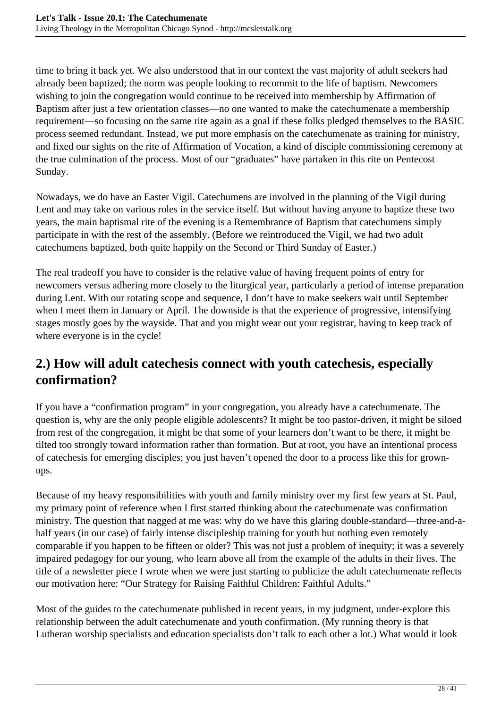time to bring it back yet. We also understood that in our context the vast majority of adult seekers had already been baptized; the norm was people looking to recommit to the life of baptism. Newcomers wishing to join the congregation would continue to be received into membership by Affirmation of Baptism after just a few orientation classes—no one wanted to make the catechumenate a membership requirement—so focusing on the same rite again as a goal if these folks pledged themselves to the BASIC process seemed redundant. Instead, we put more emphasis on the catechumenate as training for ministry, and fixed our sights on the rite of Affirmation of Vocation, a kind of disciple commissioning ceremony at the true culmination of the process. Most of our "graduates" have partaken in this rite on Pentecost Sunday.

Nowadays, we do have an Easter Vigil. Catechumens are involved in the planning of the Vigil during Lent and may take on various roles in the service itself. But without having anyone to baptize these two years, the main baptismal rite of the evening is a Remembrance of Baptism that catechumens simply participate in with the rest of the assembly. (Before we reintroduced the Vigil, we had two adult catechumens baptized, both quite happily on the Second or Third Sunday of Easter.)

The real tradeoff you have to consider is the relative value of having frequent points of entry for newcomers versus adhering more closely to the liturgical year, particularly a period of intense preparation during Lent. With our rotating scope and sequence, I don't have to make seekers wait until September when I meet them in January or April. The downside is that the experience of progressive, intensifying stages mostly goes by the wayside. That and you might wear out your registrar, having to keep track of where everyone is in the cycle!

## **2.) How will adult catechesis connect with youth catechesis, especially confirmation?**

If you have a "confirmation program" in your congregation, you already have a catechumenate. The question is, why are the only people eligible adolescents? It might be too pastor-driven, it might be siloed from rest of the congregation, it might be that some of your learners don't want to be there, it might be tilted too strongly toward information rather than formation. But at root, you have an intentional process of catechesis for emerging disciples; you just haven't opened the door to a process like this for grownups.

Because of my heavy responsibilities with youth and family ministry over my first few years at St. Paul, my primary point of reference when I first started thinking about the catechumenate was confirmation ministry. The question that nagged at me was: why do we have this glaring double-standard—three-and-ahalf years (in our case) of fairly intense discipleship training for youth but nothing even remotely comparable if you happen to be fifteen or older? This was not just a problem of inequity; it was a severely impaired pedagogy for our young, who learn above all from the example of the adults in their lives. The title of a newsletter piece I wrote when we were just starting to publicize the adult catechumenate reflects our motivation here: "Our Strategy for Raising Faithful Children: Faithful Adults."

Most of the guides to the catechumenate published in recent years, in my judgment, under-explore this relationship between the adult catechumenate and youth confirmation. (My running theory is that Lutheran worship specialists and education specialists don't talk to each other a lot.) What would it look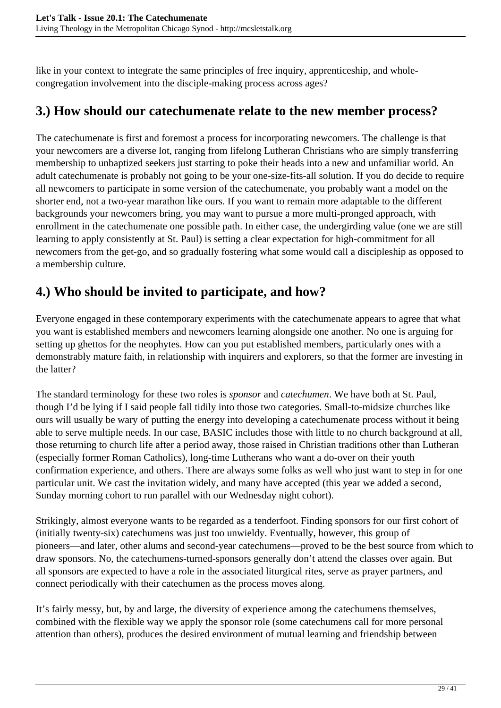like in your context to integrate the same principles of free inquiry, apprenticeship, and wholecongregation involvement into the disciple-making process across ages?

## **3.) How should our catechumenate relate to the new member process?**

The catechumenate is first and foremost a process for incorporating newcomers. The challenge is that your newcomers are a diverse lot, ranging from lifelong Lutheran Christians who are simply transferring membership to unbaptized seekers just starting to poke their heads into a new and unfamiliar world. An adult catechumenate is probably not going to be your one-size-fits-all solution. If you do decide to require all newcomers to participate in some version of the catechumenate, you probably want a model on the shorter end, not a two-year marathon like ours. If you want to remain more adaptable to the different backgrounds your newcomers bring, you may want to pursue a more multi-pronged approach, with enrollment in the catechumenate one possible path. In either case, the undergirding value (one we are still learning to apply consistently at St. Paul) is setting a clear expectation for high-commitment for all newcomers from the get-go, and so gradually fostering what some would call a discipleship as opposed to a membership culture.

## **4.) Who should be invited to participate, and how?**

Everyone engaged in these contemporary experiments with the catechumenate appears to agree that what you want is established members and newcomers learning alongside one another. No one is arguing for setting up ghettos for the neophytes. How can you put established members, particularly ones with a demonstrably mature faith, in relationship with inquirers and explorers, so that the former are investing in the latter?

The standard terminology for these two roles is *sponsor* and *catechumen*. We have both at St. Paul, though I'd be lying if I said people fall tidily into those two categories. Small-to-midsize churches like ours will usually be wary of putting the energy into developing a catechumenate process without it being able to serve multiple needs. In our case, BASIC includes those with little to no church background at all, those returning to church life after a period away, those raised in Christian traditions other than Lutheran (especially former Roman Catholics), long-time Lutherans who want a do-over on their youth confirmation experience, and others. There are always some folks as well who just want to step in for one particular unit. We cast the invitation widely, and many have accepted (this year we added a second, Sunday morning cohort to run parallel with our Wednesday night cohort).

Strikingly, almost everyone wants to be regarded as a tenderfoot. Finding sponsors for our first cohort of (initially twenty-six) catechumens was just too unwieldy. Eventually, however, this group of pioneers—and later, other alums and second-year catechumens—proved to be the best source from which to draw sponsors. No, the catechumens-turned-sponsors generally don't attend the classes over again. But all sponsors are expected to have a role in the associated liturgical rites, serve as prayer partners, and connect periodically with their catechumen as the process moves along.

It's fairly messy, but, by and large, the diversity of experience among the catechumens themselves, combined with the flexible way we apply the sponsor role (some catechumens call for more personal attention than others), produces the desired environment of mutual learning and friendship between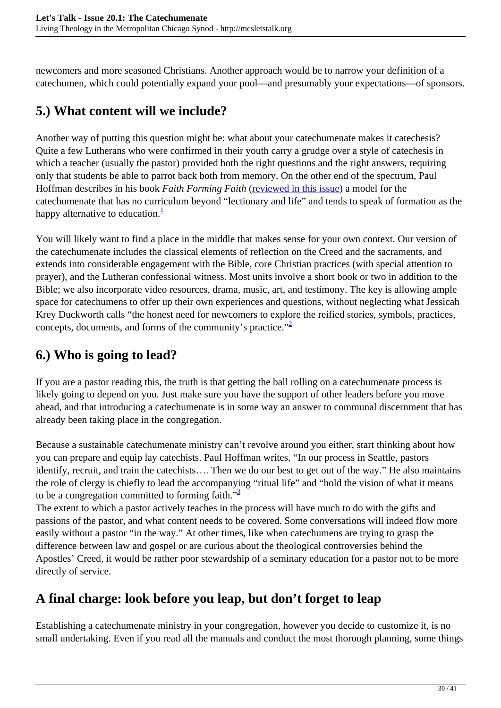newcomers and more seasoned Christians. Another approach would be to narrow your definition of a catechumen, which could potentially expand your pool—and presumably your expectations—of sponsors.

## **5.) What content will we include?**

Another way of putting this question might be: what about your catechumenate makes it catechesis? Quite a few Lutherans who were confirmed in their youth carry a grudge over a style of catechesis in which a teacher (usually the pastor) provided both the right questions and the right answers, requiring only that students be able to parrot back both from memory. On the other end of the spectrum, Paul Hoffman describes in his book *Faith Forming Faith* ([reviewed in this issue](http://mcsletstalk.org/catechumenate/book-review-faith-forming-faith-bringing-new-christians-to-baptism-and-beyond-by-paul-e-hoffman/)) a model for the catechumenate that has no curriculum beyond "lectionary and life" and tends to speak of formation as the happy alternative to education. $\frac{1}{1}$ 

You will likely want to find a place in the middle that makes sense for your own context. Our version of the catechumenate includes the classical elements of reflection on the Creed and the sacraments, and extends into considerable engagement with the Bible, core Christian practices (with special attention to prayer), and the Lutheran confessional witness. Most units involve a short book or two in addition to the Bible; we also incorporate video resources, drama, music, art, and testimony. The key is allowing ample space for catechumens to offer up their own experiences and questions, without neglecting what Jessicah Krey Duckworth calls "the honest need for newcomers to explore the reified stories, symbols, practices, concepts, documents, and forms of the community's practice."<sup>2</sup>

## **6.) Who is going to lead?**

If you are a pastor reading this, the truth is that getting the ball rolling on a catechumenate process is likely going to depend on you. Just make sure you have the support of other leaders before you move ahead, and that introducing a catechumenate is in some way an answer to communal discernment that has already been taking place in the congregation.

Because a sustainable catechumenate ministry can't revolve around you either, start thinking about how you can prepare and equip lay catechists. Paul Hoffman writes, "In our process in Seattle, pastors identify, recruit, and train the catechists…. Then we do our best to get out of the way." He also maintains the role of clergy is chiefly to lead the accompanying "ritual life" and "hold the vision of what it means to be a congregation committed to forming faith." $\frac{3}{2}$ 

The extent to which a pastor actively teaches in the process will have much to do with the gifts and passions of the pastor, and what content needs to be covered. Some conversations will indeed flow more easily without a pastor "in the way." At other times, like when catechumens are trying to grasp the difference between law and gospel or are curious about the theological controversies behind the Apostles' Creed, it would be rather poor stewardship of a seminary education for a pastor not to be more directly of service.

## **A final charge: look before you leap, but don't forget to leap**

Establishing a catechumenate ministry in your congregation, however you decide to customize it, is no small undertaking. Even if you read all the manuals and conduct the most thorough planning, some things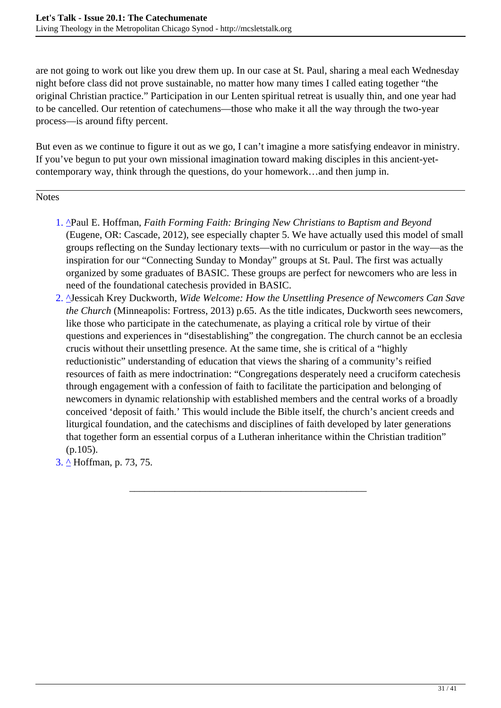are not going to work out like you drew them up. In our case at St. Paul, sharing a meal each Wednesday night before class did not prove sustainable, no matter how many times I called eating together "the original Christian practice." Participation in our Lenten spiritual retreat is usually thin, and one year had to be cancelled. Our retention of catechumens—those who make it all the way through the two-year process—is around fifty percent.

But even as we continue to figure it out as we go, I can't imagine a more satisfying endeavor in ministry. If you've begun to put your own missional imagination toward making disciples in this ancient-yetcontemporary way, think through the questions, do your homework…and then jump in.

**Notes** 

- 1. <sup>^</sup>Paul E. Hoffman, *Faith Forming Faith: Bringing New Christians to Baptism and Beyond* (Eugene, OR: Cascade, 2012), see especially chapter 5. We have actually used this model of small groups reflecting on the Sunday lectionary texts—with no curriculum or pastor in the way—as the inspiration for our "Connecting Sunday to Monday" groups at St. Paul. The first was actually organized by some graduates of BASIC. These groups are perfect for newcomers who are less in need of the foundational catechesis provided in BASIC.
- 2. ^Jessicah Krey Duckworth, *Wide Welcome: How the Unsettling Presence of Newcomers Can Save the Church* (Minneapolis: Fortress, 2013) p.65. As the title indicates, Duckworth sees newcomers, like those who participate in the catechumenate, as playing a critical role by virtue of their questions and experiences in "disestablishing" the congregation. The church cannot be an ecclesia crucis without their unsettling presence. At the same time, she is critical of a "highly reductionistic" understanding of education that views the sharing of a community's reified resources of faith as mere indoctrination: "Congregations desperately need a cruciform catechesis through engagement with a confession of faith to facilitate the participation and belonging of newcomers in dynamic relationship with established members and the central works of a broadly conceived 'deposit of faith.' This would include the Bible itself, the church's ancient creeds and liturgical foundation, and the catechisms and disciplines of faith developed by later generations that together form an essential corpus of a Lutheran inheritance within the Christian tradition"  $(p.105)$ .

\_\_\_\_\_\_\_\_\_\_\_\_\_\_\_\_\_\_\_\_\_\_\_\_\_\_\_\_\_\_\_\_\_\_\_\_\_\_\_\_\_\_\_\_\_\_\_

3. ^ Hoffman, p. 73, 75.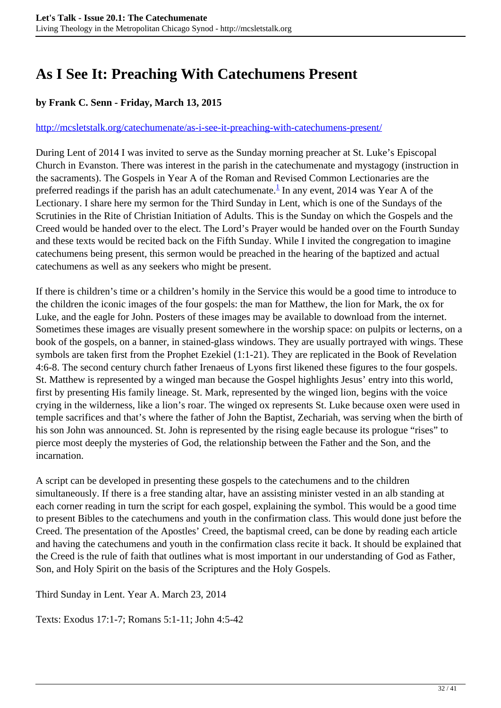## <span id="page-31-0"></span>**As I See It: Preaching With Catechumens Present**

#### **by Frank C. Senn - Friday, March 13, 2015**

#### <http://mcsletstalk.org/catechumenate/as-i-see-it-preaching-with-catechumens-present/>

During Lent of 2014 I was invited to serve as the Sunday morning preacher at St. Luke's Episcopal Church in Evanston. There was interest in the parish in the catechumenate and mystagogy (instruction in the sacraments). The Gospels in Year A of the Roman and Revised Common Lectionaries are the preferred readings if the parish has an adult catechumenate. $^1$  In any event, 2014 was Year A of the Lectionary. I share here my sermon for the Third Sunday in Lent, which is one of the Sundays of the Scrutinies in the Rite of Christian Initiation of Adults. This is the Sunday on which the Gospels and the Creed would be handed over to the elect. The Lord's Prayer would be handed over on the Fourth Sunday and these texts would be recited back on the Fifth Sunday. While I invited the congregation to imagine catechumens being present, this sermon would be preached in the hearing of the baptized and actual catechumens as well as any seekers who might be present.

If there is children's time or a children's homily in the Service this would be a good time to introduce to the children the iconic images of the four gospels: the man for Matthew, the lion for Mark, the ox for Luke, and the eagle for John. Posters of these images may be available to download from the internet. Sometimes these images are visually present somewhere in the worship space: on pulpits or lecterns, on a book of the gospels, on a banner, in stained-glass windows. They are usually portrayed with wings. These symbols are taken first from the Prophet Ezekiel (1:1-21). They are replicated in the Book of Revelation 4:6-8. The second century church father Irenaeus of Lyons first likened these figures to the four gospels. St. Matthew is represented by a winged man because the Gospel highlights Jesus' entry into this world, first by presenting His family lineage. St. Mark, represented by the winged lion, begins with the voice crying in the wilderness, like a lion's roar. The winged ox represents St. Luke because oxen were used in temple sacrifices and that's where the father of John the Baptist, Zechariah, was serving when the birth of his son John was announced. St. John is represented by the rising eagle because its prologue "rises" to pierce most deeply the mysteries of God, the relationship between the Father and the Son, and the incarnation.

A script can be developed in presenting these gospels to the catechumens and to the children simultaneously. If there is a free standing altar, have an assisting minister vested in an alb standing at each corner reading in turn the script for each gospel, explaining the symbol. This would be a good time to present Bibles to the catechumens and youth in the confirmation class. This would done just before the Creed. The presentation of the Apostles' Creed, the baptismal creed, can be done by reading each article and having the catechumens and youth in the confirmation class recite it back. It should be explained that the Creed is the rule of faith that outlines what is most important in our understanding of God as Father, Son, and Holy Spirit on the basis of the Scriptures and the Holy Gospels.

Third Sunday in Lent. Year A. March 23, 2014

Texts: Exodus 17:1-7; Romans 5:1-11; John 4:5-42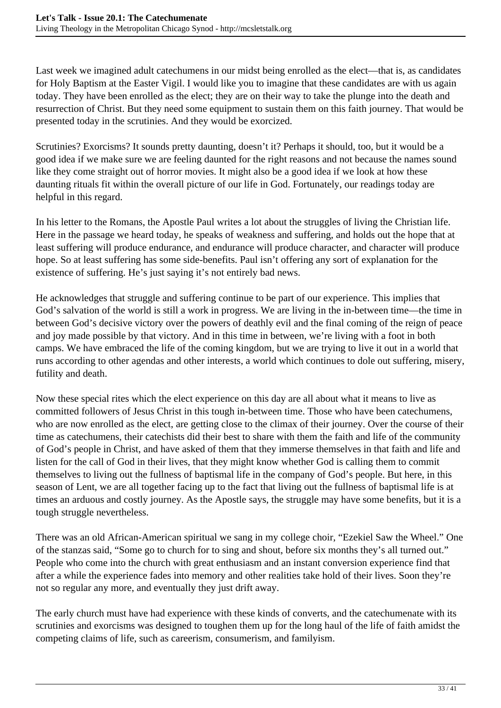Last week we imagined adult catechumens in our midst being enrolled as the elect—that is, as candidates for Holy Baptism at the Easter Vigil. I would like you to imagine that these candidates are with us again today. They have been enrolled as the elect; they are on their way to take the plunge into the death and resurrection of Christ. But they need some equipment to sustain them on this faith journey. That would be presented today in the scrutinies. And they would be exorcized.

Scrutinies? Exorcisms? It sounds pretty daunting, doesn't it? Perhaps it should, too, but it would be a good idea if we make sure we are feeling daunted for the right reasons and not because the names sound like they come straight out of horror movies. It might also be a good idea if we look at how these daunting rituals fit within the overall picture of our life in God. Fortunately, our readings today are helpful in this regard.

In his letter to the Romans, the Apostle Paul writes a lot about the struggles of living the Christian life. Here in the passage we heard today, he speaks of weakness and suffering, and holds out the hope that at least suffering will produce endurance, and endurance will produce character, and character will produce hope. So at least suffering has some side-benefits. Paul isn't offering any sort of explanation for the existence of suffering. He's just saying it's not entirely bad news.

He acknowledges that struggle and suffering continue to be part of our experience. This implies that God's salvation of the world is still a work in progress. We are living in the in-between time—the time in between God's decisive victory over the powers of deathly evil and the final coming of the reign of peace and joy made possible by that victory. And in this time in between, we're living with a foot in both camps. We have embraced the life of the coming kingdom, but we are trying to live it out in a world that runs according to other agendas and other interests, a world which continues to dole out suffering, misery, futility and death.

Now these special rites which the elect experience on this day are all about what it means to live as committed followers of Jesus Christ in this tough in-between time. Those who have been catechumens, who are now enrolled as the elect, are getting close to the climax of their journey. Over the course of their time as catechumens, their catechists did their best to share with them the faith and life of the community of God's people in Christ, and have asked of them that they immerse themselves in that faith and life and listen for the call of God in their lives, that they might know whether God is calling them to commit themselves to living out the fullness of baptismal life in the company of God's people. But here, in this season of Lent, we are all together facing up to the fact that living out the fullness of baptismal life is at times an arduous and costly journey. As the Apostle says, the struggle may have some benefits, but it is a tough struggle nevertheless.

There was an old African-American spiritual we sang in my college choir, "Ezekiel Saw the Wheel." One of the stanzas said, "Some go to church for to sing and shout, before six months they's all turned out." People who come into the church with great enthusiasm and an instant conversion experience find that after a while the experience fades into memory and other realities take hold of their lives. Soon they're not so regular any more, and eventually they just drift away.

The early church must have had experience with these kinds of converts, and the catechumenate with its scrutinies and exorcisms was designed to toughen them up for the long haul of the life of faith amidst the competing claims of life, such as careerism, consumerism, and familyism.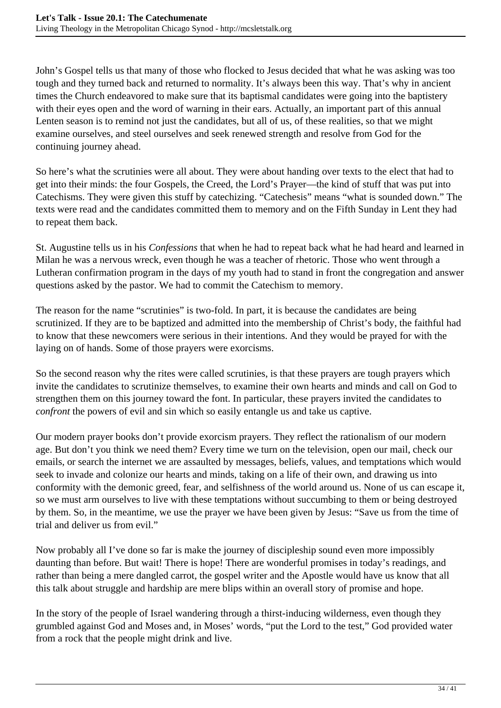John's Gospel tells us that many of those who flocked to Jesus decided that what he was asking was too tough and they turned back and returned to normality. It's always been this way. That's why in ancient times the Church endeavored to make sure that its baptismal candidates were going into the baptistery with their eyes open and the word of warning in their ears. Actually, an important part of this annual Lenten season is to remind not just the candidates, but all of us, of these realities, so that we might examine ourselves, and steel ourselves and seek renewed strength and resolve from God for the continuing journey ahead.

So here's what the scrutinies were all about. They were about handing over texts to the elect that had to get into their minds: the four Gospels, the Creed, the Lord's Prayer—the kind of stuff that was put into Catechisms. They were given this stuff by catechizing. "Catechesis" means "what is sounded down." The texts were read and the candidates committed them to memory and on the Fifth Sunday in Lent they had to repeat them back.

St. Augustine tells us in his *Confessions* that when he had to repeat back what he had heard and learned in Milan he was a nervous wreck, even though he was a teacher of rhetoric. Those who went through a Lutheran confirmation program in the days of my youth had to stand in front the congregation and answer questions asked by the pastor. We had to commit the Catechism to memory.

The reason for the name "scrutinies" is two-fold. In part, it is because the candidates are being scrutinized. If they are to be baptized and admitted into the membership of Christ's body, the faithful had to know that these newcomers were serious in their intentions. And they would be prayed for with the laying on of hands. Some of those prayers were exorcisms.

So the second reason why the rites were called scrutinies, is that these prayers are tough prayers which invite the candidates to scrutinize themselves, to examine their own hearts and minds and call on God to strengthen them on this journey toward the font. In particular, these prayers invited the candidates to *confront* the powers of evil and sin which so easily entangle us and take us captive.

Our modern prayer books don't provide exorcism prayers. They reflect the rationalism of our modern age. But don't you think we need them? Every time we turn on the television, open our mail, check our emails, or search the internet we are assaulted by messages, beliefs, values, and temptations which would seek to invade and colonize our hearts and minds, taking on a life of their own, and drawing us into conformity with the demonic greed, fear, and selfishness of the world around us. None of us can escape it, so we must arm ourselves to live with these temptations without succumbing to them or being destroyed by them. So, in the meantime, we use the prayer we have been given by Jesus: "Save us from the time of trial and deliver us from evil."

Now probably all I've done so far is make the journey of discipleship sound even more impossibly daunting than before. But wait! There is hope! There are wonderful promises in today's readings, and rather than being a mere dangled carrot, the gospel writer and the Apostle would have us know that all this talk about struggle and hardship are mere blips within an overall story of promise and hope.

In the story of the people of Israel wandering through a thirst-inducing wilderness, even though they grumbled against God and Moses and, in Moses' words, "put the Lord to the test," God provided water from a rock that the people might drink and live.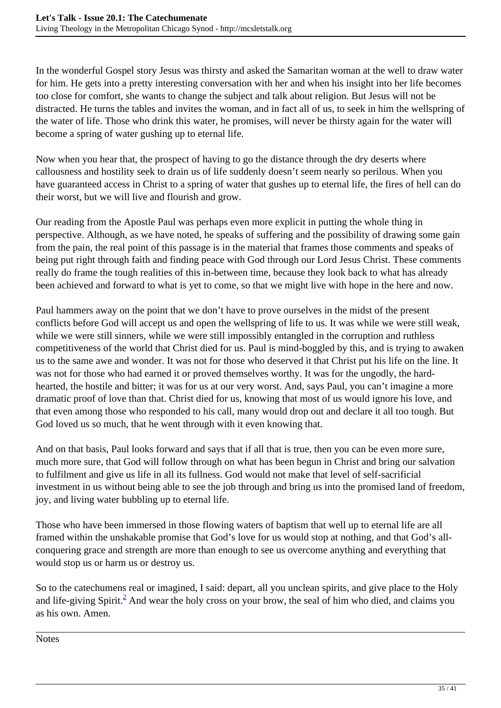In the wonderful Gospel story Jesus was thirsty and asked the Samaritan woman at the well to draw water for him. He gets into a pretty interesting conversation with her and when his insight into her life becomes too close for comfort, she wants to change the subject and talk about religion. But Jesus will not be distracted. He turns the tables and invites the woman, and in fact all of us, to seek in him the wellspring of the water of life. Those who drink this water, he promises, will never be thirsty again for the water will become a spring of water gushing up to eternal life.

Now when you hear that, the prospect of having to go the distance through the dry deserts where callousness and hostility seek to drain us of life suddenly doesn't seem nearly so perilous. When you have guaranteed access in Christ to a spring of water that gushes up to eternal life, the fires of hell can do their worst, but we will live and flourish and grow.

Our reading from the Apostle Paul was perhaps even more explicit in putting the whole thing in perspective. Although, as we have noted, he speaks of suffering and the possibility of drawing some gain from the pain, the real point of this passage is in the material that frames those comments and speaks of being put right through faith and finding peace with God through our Lord Jesus Christ. These comments really do frame the tough realities of this in-between time, because they look back to what has already been achieved and forward to what is yet to come, so that we might live with hope in the here and now.

Paul hammers away on the point that we don't have to prove ourselves in the midst of the present conflicts before God will accept us and open the wellspring of life to us. It was while we were still weak, while we were still sinners, while we were still impossibly entangled in the corruption and ruthless competitiveness of the world that Christ died for us. Paul is mind-boggled by this, and is trying to awaken us to the same awe and wonder. It was not for those who deserved it that Christ put his life on the line. It was not for those who had earned it or proved themselves worthy. It was for the ungodly, the hardhearted, the hostile and bitter; it was for us at our very worst. And, says Paul, you can't imagine a more dramatic proof of love than that. Christ died for us, knowing that most of us would ignore his love, and that even among those who responded to his call, many would drop out and declare it all too tough. But God loved us so much, that he went through with it even knowing that.

And on that basis, Paul looks forward and says that if all that is true, then you can be even more sure, much more sure, that God will follow through on what has been begun in Christ and bring our salvation to fulfilment and give us life in all its fullness. God would not make that level of self-sacrificial investment in us without being able to see the job through and bring us into the promised land of freedom, joy, and living water bubbling up to eternal life.

Those who have been immersed in those flowing waters of baptism that well up to eternal life are all framed within the unshakable promise that God's love for us would stop at nothing, and that God's allconquering grace and strength are more than enough to see us overcome anything and everything that would stop us or harm us or destroy us.

So to the catechumens real or imagined, I said: depart, all you unclean spirits, and give place to the Holy and life-giving Spirit.<sup>2</sup> And wear the holy cross on your brow, the seal of him who died, and claims you as his own. Amen.

**Notes**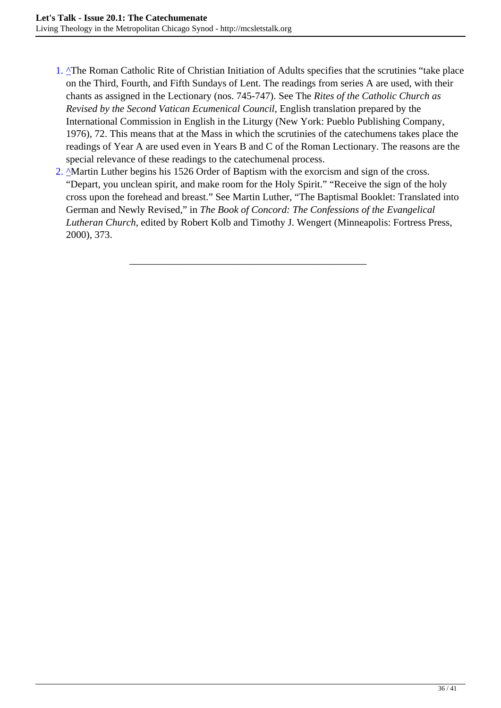- 1. <sup> $\Delta$ </sup>The Roman Catholic Rite of Christian Initiation of Adults specifies that the scrutinies "take place" on the Third, Fourth, and Fifth Sundays of Lent. The readings from series A are used, with their chants as assigned in the Lectionary (nos. 745-747). See The *Rites of the Catholic Church as Revised by the Second Vatican Ecumenical Council*, English translation prepared by the International Commission in English in the Liturgy (New York: Pueblo Publishing Company, 1976), 72. This means that at the Mass in which the scrutinies of the catechumens takes place the readings of Year A are used even in Years B and C of the Roman Lectionary. The reasons are the special relevance of these readings to the catechumenal process.
- 2. <sup>A</sup>Martin Luther begins his 1526 Order of Baptism with the exorcism and sign of the cross. "Depart, you unclean spirit, and make room for the Holy Spirit." "Receive the sign of the holy cross upon the forehead and breast." See Martin Luther, "The Baptismal Booklet: Translated into German and Newly Revised," in *The Book of Concord: The Confessions of the Evangelical Lutheran Church*, edited by Robert Kolb and Timothy J. Wengert (Minneapolis: Fortress Press, 2000), 373.

\_\_\_\_\_\_\_\_\_\_\_\_\_\_\_\_\_\_\_\_\_\_\_\_\_\_\_\_\_\_\_\_\_\_\_\_\_\_\_\_\_\_\_\_\_\_\_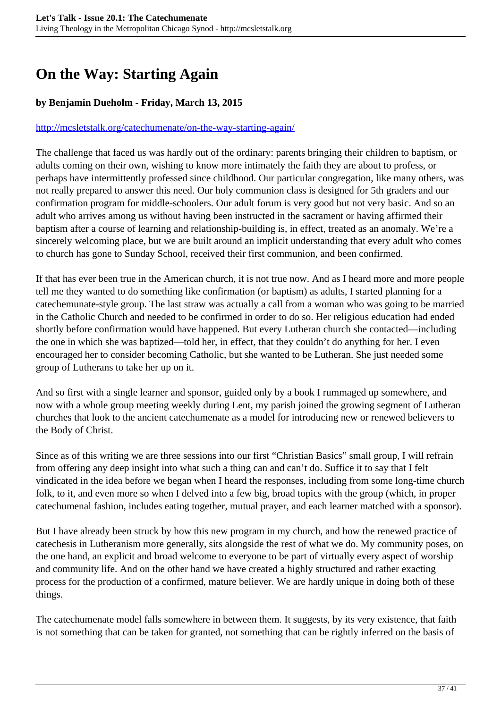## <span id="page-36-0"></span>**On the Way: Starting Again**

#### **by Benjamin Dueholm - Friday, March 13, 2015**

#### <http://mcsletstalk.org/catechumenate/on-the-way-starting-again/>

The challenge that faced us was hardly out of the ordinary: parents bringing their children to baptism, or adults coming on their own, wishing to know more intimately the faith they are about to profess, or perhaps have intermittently professed since childhood. Our particular congregation, like many others, was not really prepared to answer this need. Our holy communion class is designed for 5th graders and our confirmation program for middle-schoolers. Our adult forum is very good but not very basic. And so an adult who arrives among us without having been instructed in the sacrament or having affirmed their baptism after a course of learning and relationship-building is, in effect, treated as an anomaly. We're a sincerely welcoming place, but we are built around an implicit understanding that every adult who comes to church has gone to Sunday School, received their first communion, and been confirmed.

If that has ever been true in the American church, it is not true now. And as I heard more and more people tell me they wanted to do something like confirmation (or baptism) as adults, I started planning for a catechemunate-style group. The last straw was actually a call from a woman who was going to be married in the Catholic Church and needed to be confirmed in order to do so. Her religious education had ended shortly before confirmation would have happened. But every Lutheran church she contacted—including the one in which she was baptized—told her, in effect, that they couldn't do anything for her. I even encouraged her to consider becoming Catholic, but she wanted to be Lutheran. She just needed some group of Lutherans to take her up on it.

And so first with a single learner and sponsor, guided only by a book I rummaged up somewhere, and now with a whole group meeting weekly during Lent, my parish joined the growing segment of Lutheran churches that look to the ancient catechumenate as a model for introducing new or renewed believers to the Body of Christ.

Since as of this writing we are three sessions into our first "Christian Basics" small group, I will refrain from offering any deep insight into what such a thing can and can't do. Suffice it to say that I felt vindicated in the idea before we began when I heard the responses, including from some long-time church folk, to it, and even more so when I delved into a few big, broad topics with the group (which, in proper catechumenal fashion, includes eating together, mutual prayer, and each learner matched with a sponsor).

But I have already been struck by how this new program in my church, and how the renewed practice of catechesis in Lutheranism more generally, sits alongside the rest of what we do. My community poses, on the one hand, an explicit and broad welcome to everyone to be part of virtually every aspect of worship and community life. And on the other hand we have created a highly structured and rather exacting process for the production of a confirmed, mature believer. We are hardly unique in doing both of these things.

The catechumenate model falls somewhere in between them. It suggests, by its very existence, that faith is not something that can be taken for granted, not something that can be rightly inferred on the basis of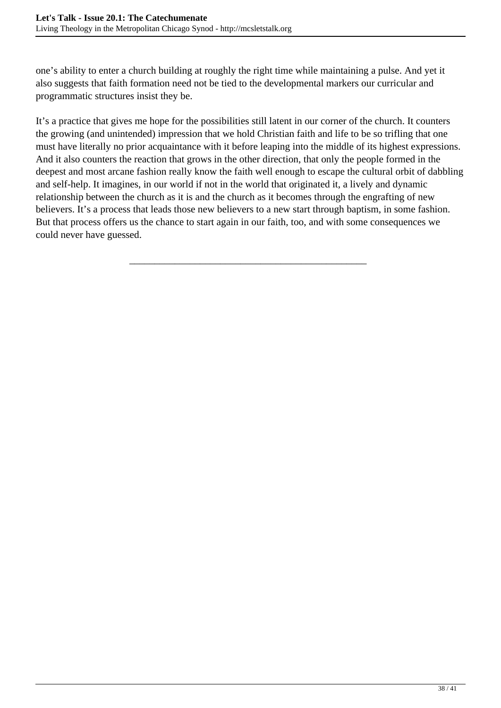one's ability to enter a church building at roughly the right time while maintaining a pulse. And yet it also suggests that faith formation need not be tied to the developmental markers our curricular and programmatic structures insist they be.

It's a practice that gives me hope for the possibilities still latent in our corner of the church. It counters the growing (and unintended) impression that we hold Christian faith and life to be so trifling that one must have literally no prior acquaintance with it before leaping into the middle of its highest expressions. And it also counters the reaction that grows in the other direction, that only the people formed in the deepest and most arcane fashion really know the faith well enough to escape the cultural orbit of dabbling and self-help. It imagines, in our world if not in the world that originated it, a lively and dynamic relationship between the church as it is and the church as it becomes through the engrafting of new believers. It's a process that leads those new believers to a new start through baptism, in some fashion. But that process offers us the chance to start again in our faith, too, and with some consequences we could never have guessed.

\_\_\_\_\_\_\_\_\_\_\_\_\_\_\_\_\_\_\_\_\_\_\_\_\_\_\_\_\_\_\_\_\_\_\_\_\_\_\_\_\_\_\_\_\_\_\_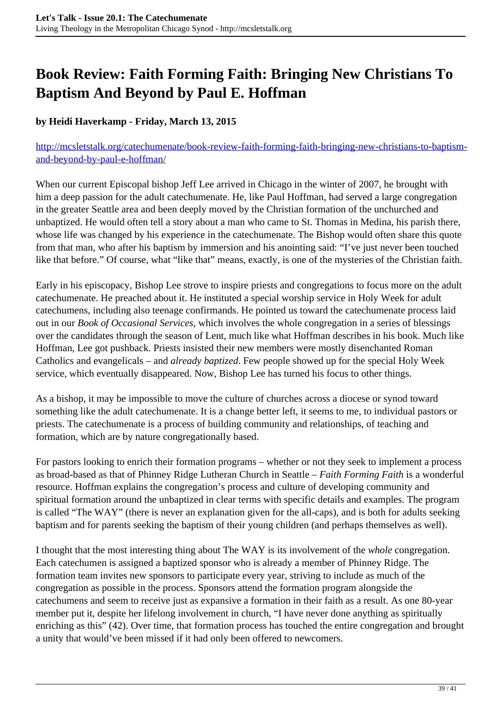## <span id="page-38-0"></span>**Book Review: Faith Forming Faith: Bringing New Christians To Baptism And Beyond by Paul E. Hoffman**

#### **by Heidi Haverkamp - Friday, March 13, 2015**

#### [http://mcsletstalk.org/catechumenate/book-review-faith-forming-faith-bringing-new-christians-to-baptism](http://mcsletstalk.org/catechumenate/book-review-faith-forming-faith-bringing-new-christians-to-baptism-and-beyond-by-paul-e-hoffman/)[and-beyond-by-paul-e-hoffman/](http://mcsletstalk.org/catechumenate/book-review-faith-forming-faith-bringing-new-christians-to-baptism-and-beyond-by-paul-e-hoffman/)

When our current Episcopal bishop Jeff Lee arrived in Chicago in the winter of 2007, he brought with him a deep passion for the adult catechumenate. He, like Paul Hoffman, had served a large congregation in the greater Seattle area and been deeply moved by the Christian formation of the unchurched and unbaptized. He would often tell a story about a man who came to St. Thomas in Medina, his parish there, whose life was changed by his experience in the catechumenate. The Bishop would often share this quote from that man, who after his baptism by immersion and his anointing said: "I've just never been touched like that before." Of course, what "like that" means, exactly, is one of the mysteries of the Christian faith.

Early in his episcopacy, Bishop Lee strove to inspire priests and congregations to focus more on the adult catechumenate. He preached about it. He instituted a special worship service in Holy Week for adult catechumens, including also teenage confirmands. He pointed us toward the catechumenate process laid out in our *Book of Occasional Services*, which involves the whole congregation in a series of blessings over the candidates through the season of Lent, much like what Hoffman describes in his book. Much like Hoffman, Lee got pushback. Priests insisted their new members were mostly disenchanted Roman Catholics and evangelicals – and *already baptized*. Few people showed up for the special Holy Week service, which eventually disappeared. Now, Bishop Lee has turned his focus to other things.

As a bishop, it may be impossible to move the culture of churches across a diocese or synod toward something like the adult catechumenate. It is a change better left, it seems to me, to individual pastors or priests. The catechumenate is a process of building community and relationships, of teaching and formation, which are by nature congregationally based.

For pastors looking to enrich their formation programs – whether or not they seek to implement a process as broad-based as that of Phinney Ridge Lutheran Church in Seattle – *Faith Forming Faith* is a wonderful resource. Hoffman explains the congregation's process and culture of developing community and spiritual formation around the unbaptized in clear terms with specific details and examples. The program is called "The WAY" (there is never an explanation given for the all-caps), and is both for adults seeking baptism and for parents seeking the baptism of their young children (and perhaps themselves as well).

I thought that the most interesting thing about The WAY is its involvement of the *whole* congregation. Each catechumen is assigned a baptized sponsor who is already a member of Phinney Ridge. The formation team invites new sponsors to participate every year, striving to include as much of the congregation as possible in the process. Sponsors attend the formation program alongside the catechumens and seem to receive just as expansive a formation in their faith as a result. As one 80-year member put it, despite her lifelong involvement in church, "I have never done anything as spiritually enriching as this" (42). Over time, that formation process has touched the entire congregation and brought a unity that would've been missed if it had only been offered to newcomers.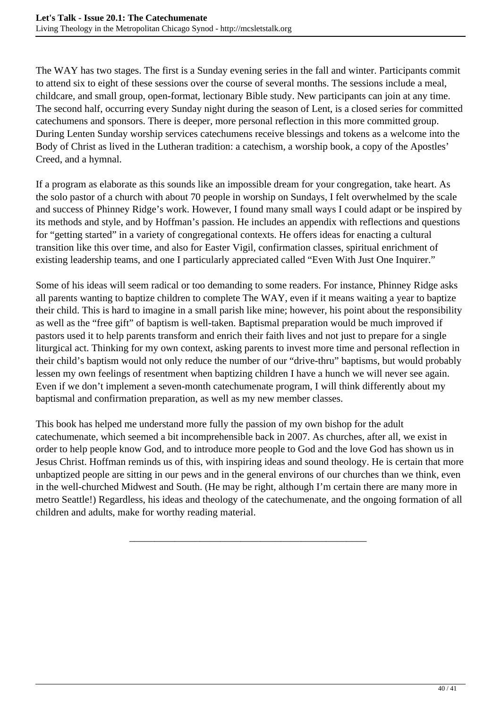The WAY has two stages. The first is a Sunday evening series in the fall and winter. Participants commit to attend six to eight of these sessions over the course of several months. The sessions include a meal, childcare, and small group, open-format, lectionary Bible study. New participants can join at any time. The second half, occurring every Sunday night during the season of Lent, is a closed series for committed catechumens and sponsors. There is deeper, more personal reflection in this more committed group. During Lenten Sunday worship services catechumens receive blessings and tokens as a welcome into the Body of Christ as lived in the Lutheran tradition: a catechism, a worship book, a copy of the Apostles' Creed, and a hymnal.

If a program as elaborate as this sounds like an impossible dream for your congregation, take heart. As the solo pastor of a church with about 70 people in worship on Sundays, I felt overwhelmed by the scale and success of Phinney Ridge's work. However, I found many small ways I could adapt or be inspired by its methods and style, and by Hoffman's passion. He includes an appendix with reflections and questions for "getting started" in a variety of congregational contexts. He offers ideas for enacting a cultural transition like this over time, and also for Easter Vigil, confirmation classes, spiritual enrichment of existing leadership teams, and one I particularly appreciated called "Even With Just One Inquirer."

Some of his ideas will seem radical or too demanding to some readers. For instance, Phinney Ridge asks all parents wanting to baptize children to complete The WAY, even if it means waiting a year to baptize their child. This is hard to imagine in a small parish like mine; however, his point about the responsibility as well as the "free gift" of baptism is well-taken. Baptismal preparation would be much improved if pastors used it to help parents transform and enrich their faith lives and not just to prepare for a single liturgical act. Thinking for my own context, asking parents to invest more time and personal reflection in their child's baptism would not only reduce the number of our "drive-thru" baptisms, but would probably lessen my own feelings of resentment when baptizing children I have a hunch we will never see again. Even if we don't implement a seven-month catechumenate program, I will think differently about my baptismal and confirmation preparation, as well as my new member classes.

This book has helped me understand more fully the passion of my own bishop for the adult catechumenate, which seemed a bit incomprehensible back in 2007. As churches, after all, we exist in order to help people know God, and to introduce more people to God and the love God has shown us in Jesus Christ. Hoffman reminds us of this, with inspiring ideas and sound theology. He is certain that more unbaptized people are sitting in our pews and in the general environs of our churches than we think, even in the well-churched Midwest and South. (He may be right, although I'm certain there are many more in metro Seattle!) Regardless, his ideas and theology of the catechumenate, and the ongoing formation of all children and adults, make for worthy reading material.

\_\_\_\_\_\_\_\_\_\_\_\_\_\_\_\_\_\_\_\_\_\_\_\_\_\_\_\_\_\_\_\_\_\_\_\_\_\_\_\_\_\_\_\_\_\_\_